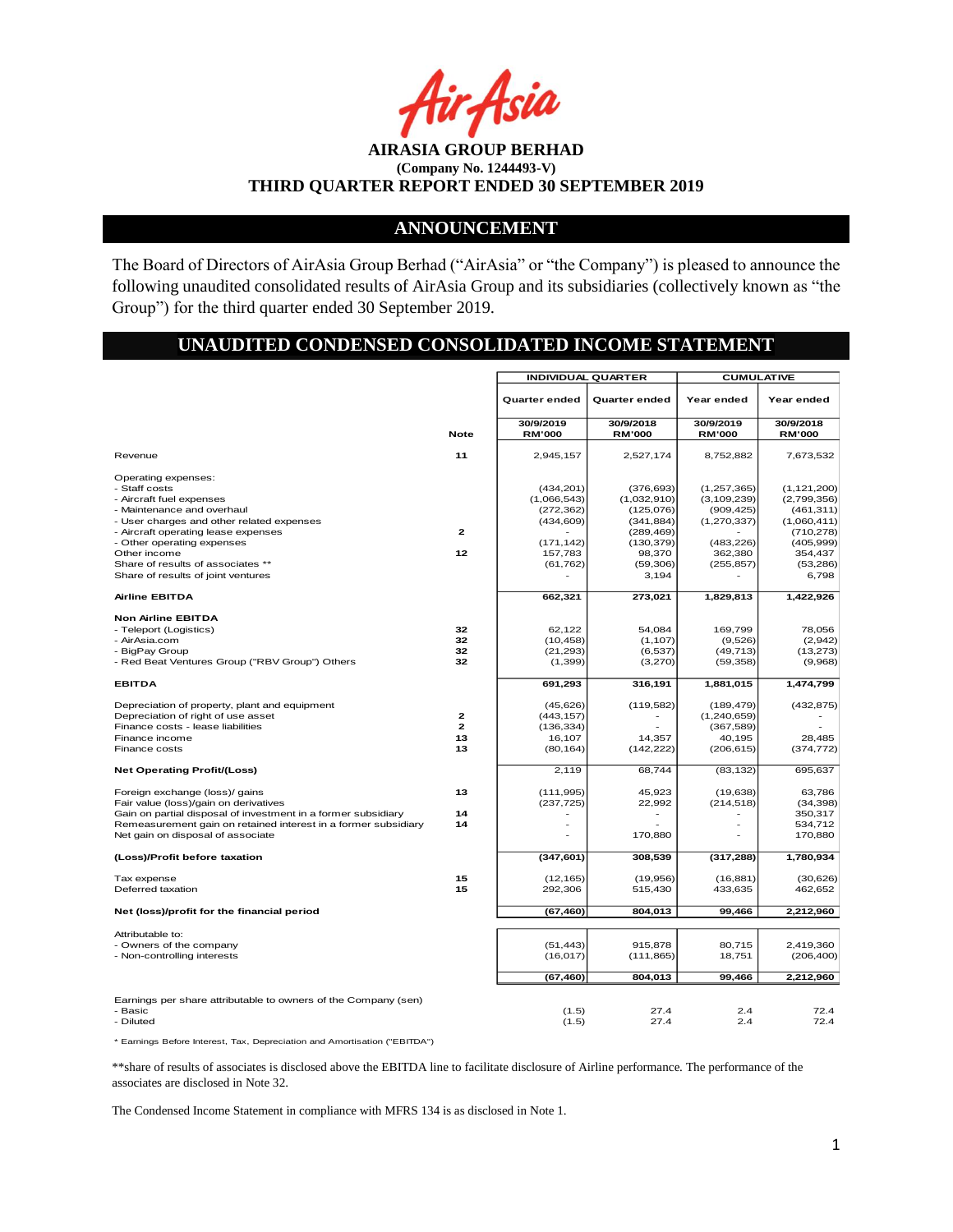r Asia

**AIRASIA GROUP BERHAD (Company No. 1244493-V) THIRD QUARTER REPORT ENDED 30 SEPTEMBER 2019**

# **ANNOUNCEMENT**

The Board of Directors of AirAsia Group Berhad ("AirAsia" or "the Company") is pleased to announce the following unaudited consolidated results of AirAsia Group and its subsidiaries (collectively known as "the Group") for the third quarter ended 30 September 2019.

# **UNAUDITED CONDENSED CONSOLIDATED INCOME STATEMENT**

|                                                                                                                                                                                                                                                 |                                          |                                                              | <b>INDIVIDUAL QUARTER</b>                                          | <b>CUMULATIVE</b>                                               |                                                                         |  |
|-------------------------------------------------------------------------------------------------------------------------------------------------------------------------------------------------------------------------------------------------|------------------------------------------|--------------------------------------------------------------|--------------------------------------------------------------------|-----------------------------------------------------------------|-------------------------------------------------------------------------|--|
|                                                                                                                                                                                                                                                 |                                          | Quarter ended                                                | Quarter ended                                                      | Year ended                                                      | Year ended                                                              |  |
|                                                                                                                                                                                                                                                 | <b>Note</b>                              | 30/9/2019<br><b>RM'000</b>                                   | 30/9/2018<br><b>RM'000</b>                                         | 30/9/2019<br><b>RM'000</b>                                      | 30/9/2018<br><b>RM'000</b>                                              |  |
| Revenue                                                                                                                                                                                                                                         | 11                                       | 2,945,157                                                    | 2,527,174                                                          | 8.752.882                                                       | 7,673,532                                                               |  |
| Operating expenses:<br>- Staff costs<br>- Aircraft fuel expenses<br>- Maintenance and overhaul<br>- User charges and other related expenses<br>- Aircraft operating lease expenses                                                              | $\mathbf{z}$                             | (434, 201)<br>(1,066,543)<br>(272, 362)<br>(434, 609)        | (376, 693)<br>(1,032,910)<br>(125,076)<br>(341, 884)<br>(289, 469) | (1,257,365)<br>(3, 109, 239)<br>(909, 425)<br>(1, 270, 337)     | (1, 121, 200)<br>(2,799,356)<br>(461, 311)<br>(1,060,411)<br>(710, 278) |  |
| - Other operating expenses<br>Other income<br>Share of results of associates **<br>Share of results of joint ventures                                                                                                                           | 12                                       | (171, 142)<br>157,783<br>(61, 762)                           | (130, 379)<br>98,370<br>(59,306)<br>3,194                          | (483, 226)<br>362,380<br>(255, 857)                             | (405, 999)<br>354,437<br>(53, 286)<br>6,798                             |  |
| <b>Airline EBITDA</b>                                                                                                                                                                                                                           |                                          | 662,321                                                      | 273,021                                                            | 1,829,813                                                       | 1,422,926                                                               |  |
| <b>Non Airline EBITDA</b><br>- Teleport (Logistics)<br>- AirAsia.com<br>- BigPay Group<br>- Red Beat Ventures Group ("RBV Group") Others                                                                                                        | 32<br>32<br>32<br>32                     | 62,122<br>(10, 458)<br>(21, 293)<br>(1, 399)                 | 54,084<br>(1, 107)<br>(6, 537)<br>(3,270)                          | 169,799<br>(9,526)<br>(49, 713)<br>(59, 358)                    | 78,056<br>(2,942)<br>(13, 273)<br>(9,968)                               |  |
| <b>EBITDA</b>                                                                                                                                                                                                                                   |                                          | 691,293                                                      | 316,191                                                            | 1,881,015                                                       | 1,474,799                                                               |  |
| Depreciation of property, plant and equipment<br>Depreciation of right of use asset<br>Finance costs - lease liabilities<br>Finance income<br>Finance costs                                                                                     | $\mathbf{z}$<br>$\mathbf{z}$<br>13<br>13 | (45, 626)<br>(443, 157)<br>(136, 334)<br>16,107<br>(80, 164) | (119, 582)<br>14,357<br>(142, 222)                                 | (189, 479)<br>(1,240,659)<br>(367, 589)<br>40,195<br>(206, 615) | (432, 875)<br>28.485<br>(374, 772)                                      |  |
| <b>Net Operating Profit/(Loss)</b>                                                                                                                                                                                                              |                                          | 2,119                                                        | 68,744                                                             | (83, 132)                                                       | 695,637                                                                 |  |
| Foreign exchange (loss)/ gains<br>Fair value (loss)/gain on derivatives<br>Gain on partial disposal of investment in a former subsidiary<br>Remeasurement gain on retained interest in a former subsidiary<br>Net gain on disposal of associate | 13<br>14<br>14                           | (111, 995)<br>(237, 725)<br>۰                                | 45,923<br>22,992<br>٠<br>170,880                                   | (19,638)<br>(214, 518)                                          | 63,786<br>(34, 398)<br>350,317<br>534,712<br>170,880                    |  |
| (Loss)/Profit before taxation                                                                                                                                                                                                                   |                                          | (347, 601)                                                   | 308,539                                                            | (317, 288)                                                      | 1,780,934                                                               |  |
| Tax expense<br>Deferred taxation                                                                                                                                                                                                                | 15<br>15                                 | (12, 165)<br>292,306                                         | (19,956)<br>515,430                                                | (16, 881)<br>433,635                                            | (30,626)<br>462,652                                                     |  |
| Net (loss)/profit for the financial period                                                                                                                                                                                                      |                                          | (67, 460)                                                    | 804,013                                                            | 99,466                                                          | 2,212,960                                                               |  |
| Attributable to:<br>- Owners of the company<br>- Non-controlling interests                                                                                                                                                                      |                                          | (51, 443)<br>(16, 017)                                       | 915,878<br>(111, 865)                                              | 80,715<br>18,751                                                | 2,419,360<br>(206, 400)                                                 |  |
|                                                                                                                                                                                                                                                 |                                          | (67, 460)                                                    | 804,013                                                            | 99.466                                                          | 2,212,960                                                               |  |
| Earnings per share attributable to owners of the Company (sen)<br>- Basic<br>- Diluted                                                                                                                                                          |                                          | (1.5)<br>(1.5)                                               | 27.4<br>27.4                                                       | 2.4<br>2.4                                                      | 72.4<br>72.4                                                            |  |

\* Earnings Before Interest, Tax, Depreciation and Amortisation ("EBITDA")

\*\*share of results of associates is disclosed above the EBITDA line to facilitate disclosure of Airline performance. The performance of the associates are disclosed in Note 32.

The Condensed Income Statement in compliance with MFRS 134 is as disclosed in Note 1.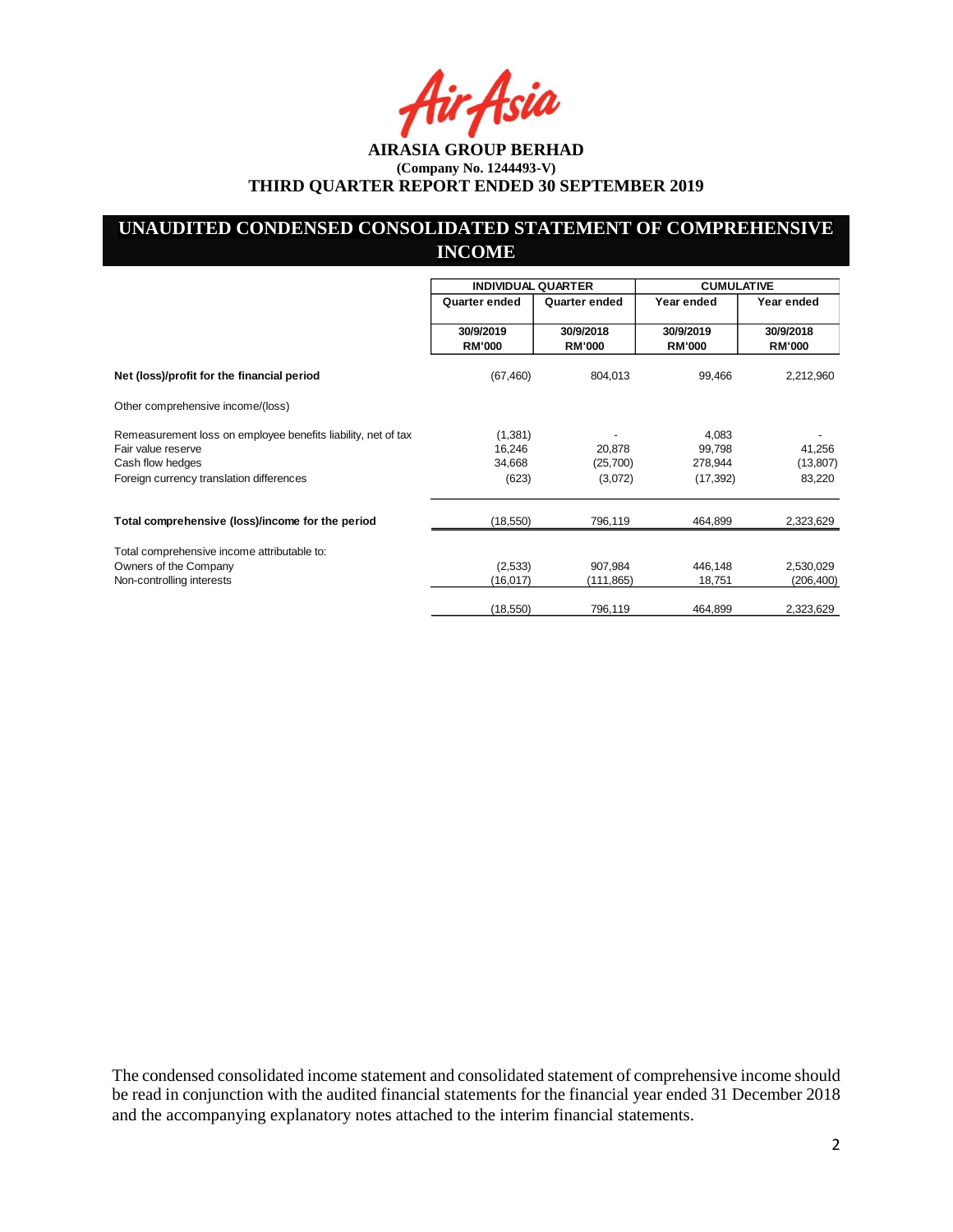# **UNAUDITED CONDENSED CONSOLIDATED STATEMENT OF COMPREHENSIVE INCOME**

|                                                                                     | <b>INDIVIDUAL QUARTER</b>  |                            | <b>CUMULATIVE</b>          |                            |
|-------------------------------------------------------------------------------------|----------------------------|----------------------------|----------------------------|----------------------------|
|                                                                                     | Quarter ended              | Quarter ended              | Year ended                 | Year ended                 |
|                                                                                     | 30/9/2019<br><b>RM'000</b> | 30/9/2018<br><b>RM'000</b> | 30/9/2019<br><b>RM'000</b> | 30/9/2018<br><b>RM'000</b> |
| Net (loss)/profit for the financial period                                          | (67, 460)                  | 804,013                    | 99,466                     | 2,212,960                  |
| Other comprehensive income/(loss)                                                   |                            |                            |                            |                            |
| Remeasurement loss on employee benefits liability, net of tax<br>Fair value reserve | (1,381)<br>16,246          | 20,878                     | 4,083<br>99,798            | 41,256                     |
| Cash flow hedges                                                                    | 34,668                     | (25,700)                   | 278,944                    | (13, 807)                  |
| Foreign currency translation differences                                            | (623)                      | (3,072)                    | (17, 392)                  | 83,220                     |
| Total comprehensive (loss)/income for the period                                    | (18, 550)                  | 796,119                    | 464,899                    | 2,323,629                  |
| Total comprehensive income attributable to:                                         |                            |                            |                            |                            |
| Owners of the Company                                                               | (2,533)                    | 907,984                    | 446,148                    | 2,530,029                  |
| Non-controlling interests                                                           | (16, 017)                  | (111,865)                  | 18,751                     | (206, 400)                 |
|                                                                                     | (18, 550)                  | 796,119                    | 464,899                    | 2,323,629                  |

The condensed consolidated income statement and consolidated statement of comprehensive income should be read in conjunction with the audited financial statements for the financial year ended 31 December 2018 and the accompanying explanatory notes attached to the interim financial statements.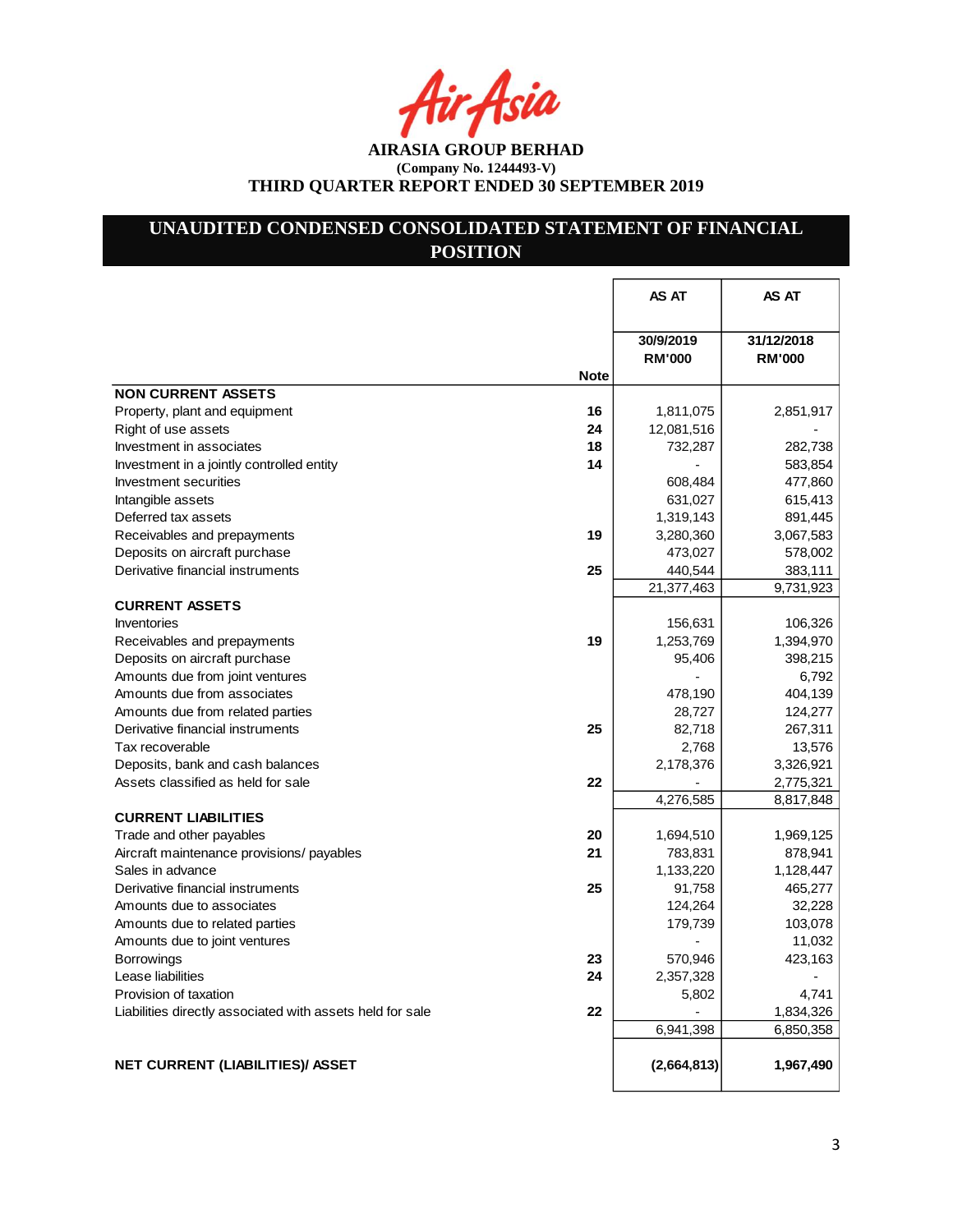r Asia

**AIRASIA GROUP BERHAD (Company No. 1244493-V) THIRD QUARTER REPORT ENDED 30 SEPTEMBER 2019**

# **UNAUDITED CONDENSED CONSOLIDATED STATEMENT OF FINANCIAL POSITION**

|                                                                 | AS AT                      | AS AT                       |
|-----------------------------------------------------------------|----------------------------|-----------------------------|
| <b>Note</b>                                                     | 30/9/2019<br><b>RM'000</b> | 31/12/2018<br><b>RM'000</b> |
| <b>NON CURRENT ASSETS</b>                                       |                            |                             |
| Property, plant and equipment<br>16                             | 1,811,075                  | 2,851,917                   |
| Right of use assets<br>24                                       | 12,081,516                 |                             |
| Investment in associates<br>18                                  | 732,287                    | 282,738                     |
| 14<br>Investment in a jointly controlled entity                 |                            | 583,854                     |
| Investment securities                                           | 608,484                    | 477,860                     |
| Intangible assets                                               | 631,027                    | 615,413                     |
| Deferred tax assets                                             | 1,319,143                  | 891,445                     |
| Receivables and prepayments<br>19                               | 3,280,360                  | 3,067,583                   |
| Deposits on aircraft purchase                                   | 473,027                    | 578,002                     |
| Derivative financial instruments<br>25                          | 440,544                    | 383,111                     |
|                                                                 | 21,377,463                 | 9,731,923                   |
| <b>CURRENT ASSETS</b>                                           |                            |                             |
| Inventories                                                     | 156,631                    | 106,326                     |
| Receivables and prepayments<br>19                               | 1,253,769                  | 1,394,970                   |
| Deposits on aircraft purchase                                   | 95,406                     | 398,215                     |
| Amounts due from joint ventures                                 |                            | 6,792                       |
| Amounts due from associates                                     | 478,190                    | 404,139                     |
| Amounts due from related parties                                | 28,727                     | 124,277                     |
| 25<br>Derivative financial instruments                          | 82,718                     | 267,311                     |
| Tax recoverable                                                 | 2,768                      | 13,576                      |
| Deposits, bank and cash balances                                | 2,178,376                  | 3,326,921                   |
| Assets classified as held for sale<br>22                        |                            | 2,775,321                   |
|                                                                 | 4,276,585                  | 8,817,848                   |
| <b>CURRENT LIABILITIES</b>                                      |                            |                             |
| 20<br>Trade and other payables                                  | 1,694,510                  | 1,969,125                   |
| 21<br>Aircraft maintenance provisions/ payables                 | 783,831                    | 878,941                     |
| Sales in advance                                                | 1,133,220                  | 1,128,447                   |
| Derivative financial instruments<br>25                          | 91,758                     | 465,277                     |
| Amounts due to associates                                       | 124,264                    | 32,228                      |
| Amounts due to related parties                                  | 179,739                    | 103,078                     |
| Amounts due to joint ventures                                   |                            | 11,032                      |
| 23<br><b>Borrowings</b>                                         | 570,946                    | 423,163                     |
| Lease liabilities<br>24                                         | 2,357,328                  |                             |
| Provision of taxation                                           | 5,802                      | 4,741                       |
| 22<br>Liabilities directly associated with assets held for sale |                            | 1,834,326                   |
|                                                                 | 6,941,398                  | 6,850,358                   |
|                                                                 |                            |                             |
| <b>NET CURRENT (LIABILITIES)/ ASSET</b>                         | (2,664,813)                | 1,967,490                   |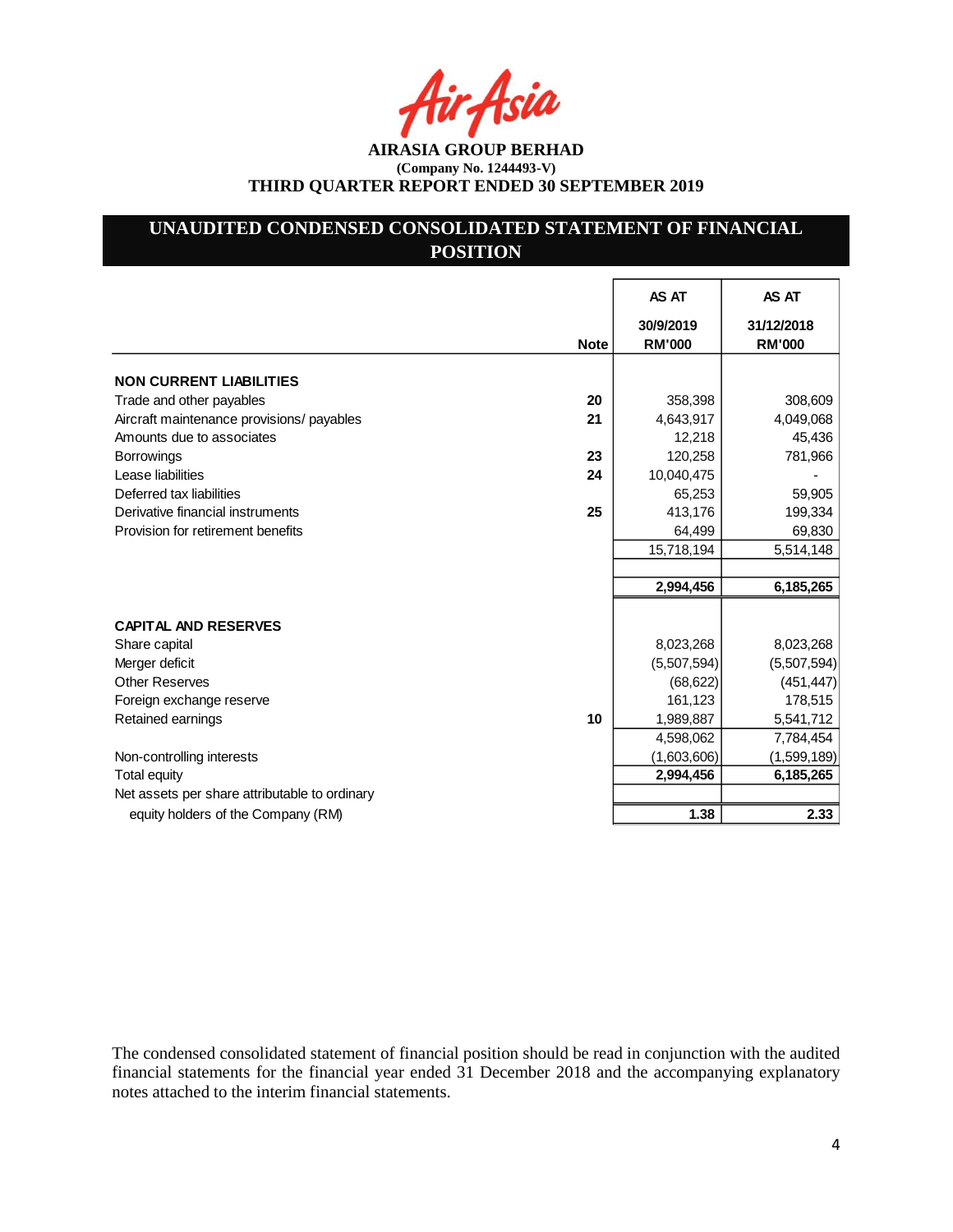Asia

**AIRASIA GROUP BERHAD (Company No. 1244493-V) THIRD QUARTER REPORT ENDED 30 SEPTEMBER 2019**

# **UNAUDITED CONDENSED CONSOLIDATED STATEMENT OF FINANCIAL POSITION**

|                                                 | AS AT                      | AS AT                       |
|-------------------------------------------------|----------------------------|-----------------------------|
| <b>Note</b>                                     | 30/9/2019<br><b>RM'000</b> | 31/12/2018<br><b>RM'000</b> |
| <b>NON CURRENT LIABILITIES</b>                  |                            |                             |
| 20<br>Trade and other payables                  | 358,398                    | 308,609                     |
| Aircraft maintenance provisions/ payables<br>21 | 4,643,917                  | 4,049,068                   |
| Amounts due to associates                       | 12,218                     | 45,436                      |
| 23<br><b>Borrowings</b>                         | 120,258                    | 781,966                     |
| Lease liabilities<br>24                         | 10,040,475                 |                             |
| Deferred tax liabilities                        | 65,253                     | 59,905                      |
| 25<br>Derivative financial instruments          | 413,176                    | 199,334                     |
| Provision for retirement benefits               | 64,499                     | 69,830                      |
|                                                 | 15,718,194                 | 5,514,148                   |
|                                                 |                            |                             |
|                                                 | 2,994,456                  | 6,185,265                   |
| <b>CAPITAL AND RESERVES</b>                     |                            |                             |
| Share capital                                   | 8,023,268                  | 8,023,268                   |
| Merger deficit                                  | (5,507,594)                | (5,507,594)                 |
| <b>Other Reserves</b>                           | (68, 622)                  | (451, 447)                  |
| Foreign exchange reserve                        | 161,123                    | 178,515                     |
| 10<br>Retained earnings                         | 1,989,887                  | 5,541,712                   |
|                                                 | 4,598,062                  | 7,784,454                   |
| Non-controlling interests                       | (1,603,606)                | (1,599,189)                 |
| <b>Total equity</b>                             | 2,994,456                  | 6,185,265                   |
| Net assets per share attributable to ordinary   |                            |                             |
| equity holders of the Company (RM)              | 1.38                       | 2.33                        |

The condensed consolidated statement of financial position should be read in conjunction with the audited financial statements for the financial year ended 31 December 2018 and the accompanying explanatory notes attached to the interim financial statements.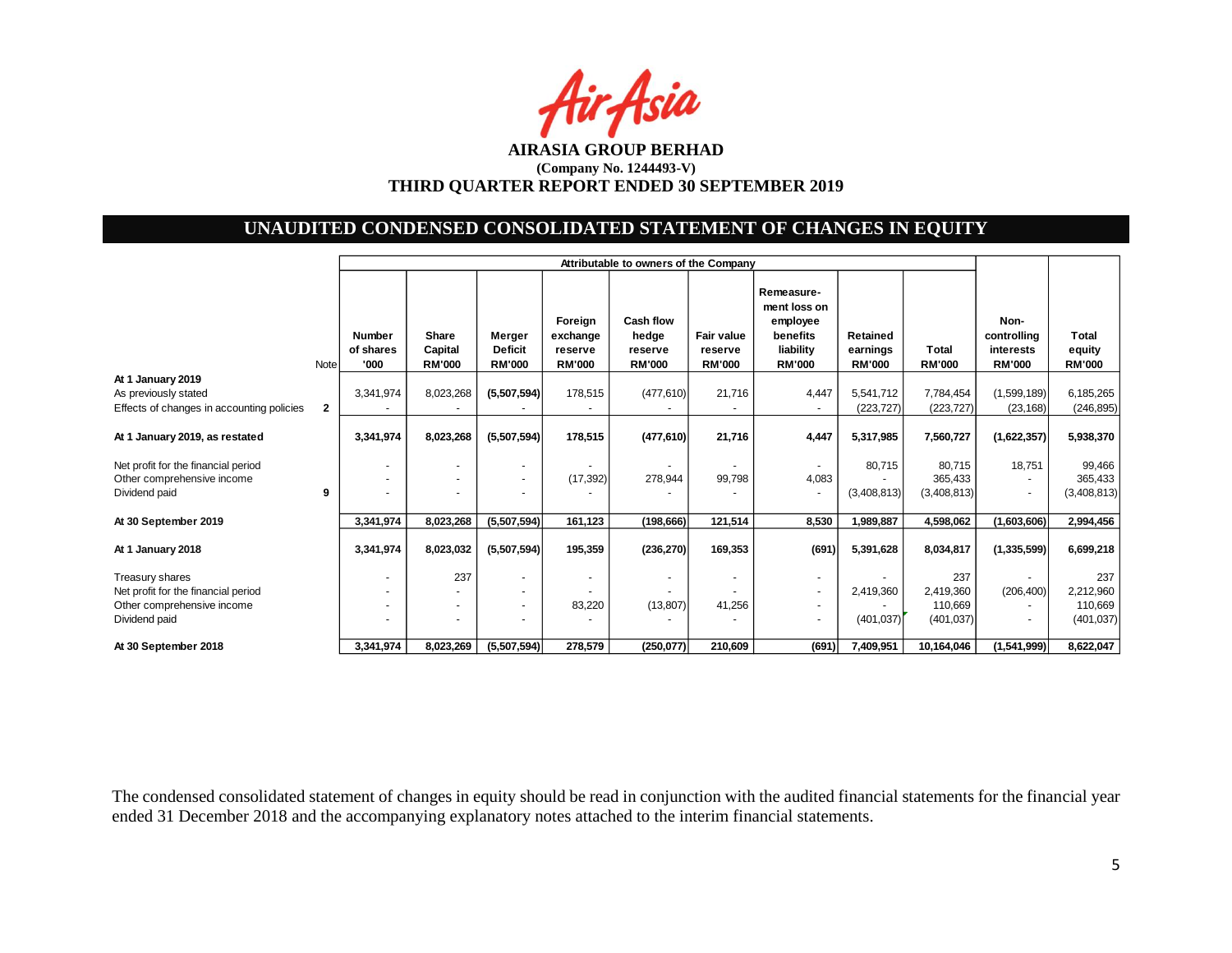

# **UNAUDITED CONDENSED CONSOLIDATED STATEMENT OF CHANGES IN EQUITY**

|                                                                                    |              |                                    | Attributable to owners of the Company |                                           |                                                 |                                                |                                        |                                                                                  |                                       |                                  |                                                   |                                         |
|------------------------------------------------------------------------------------|--------------|------------------------------------|---------------------------------------|-------------------------------------------|-------------------------------------------------|------------------------------------------------|----------------------------------------|----------------------------------------------------------------------------------|---------------------------------------|----------------------------------|---------------------------------------------------|-----------------------------------------|
|                                                                                    | Note         | <b>Number</b><br>of shares<br>'000 | Share<br>Capital<br><b>RM'000</b>     | Merger<br><b>Deficit</b><br><b>RM'000</b> | Foreign<br>exchange<br>reserve<br><b>RM'000</b> | Cash flow<br>hedge<br>reserve<br><b>RM'000</b> | Fair value<br>reserve<br><b>RM'000</b> | Remeasure-<br>ment loss on<br>employee<br>benefits<br>liability<br><b>RM'000</b> | Retained<br>earnings<br><b>RM'000</b> | <b>Total</b><br><b>RM'000</b>    | Non-<br>controlling<br>interests<br><b>RM'000</b> | <b>Total</b><br>equity<br><b>RM'000</b> |
| At 1 January 2019                                                                  |              |                                    |                                       |                                           |                                                 |                                                |                                        |                                                                                  |                                       |                                  |                                                   |                                         |
| As previously stated                                                               |              | 3,341,974                          | 8,023,268                             | (5,507,594)                               | 178,515                                         | (477, 610)                                     | 21,716                                 | 4,447                                                                            | 5,541,712                             | 7,784,454                        | (1,599,189)                                       | 6,185,265                               |
| Effects of changes in accounting policies                                          | $\mathbf{2}$ |                                    |                                       |                                           |                                                 |                                                |                                        |                                                                                  | (223, 727)                            | (223, 727)                       | (23, 168)                                         | (246, 895)                              |
| At 1 January 2019, as restated                                                     |              | 3,341,974                          | 8,023,268                             | (5,507,594)                               | 178,515                                         | (477, 610)                                     | 21,716                                 | 4,447                                                                            | 5,317,985                             | 7,560,727                        | (1,622,357)                                       | 5,938,370                               |
| Net profit for the financial period<br>Other comprehensive income<br>Dividend paid | 9            |                                    |                                       | $\overline{\phantom{0}}$                  | (17, 392)                                       | 278,944                                        | 99,798                                 | 4,083<br>٠                                                                       | 80,715<br>(3,408,813)                 | 80,715<br>365.433<br>(3,408,813) | 18,751                                            | 99,466<br>365,433<br>(3,408,813)        |
| At 30 September 2019                                                               |              | 3,341,974                          | 8,023,268                             | (5,507,594)                               | 161,123                                         | (198, 666)                                     | 121,514                                | 8,530                                                                            | 1,989,887                             | 4,598,062                        | (1,603,606)                                       | 2,994,456                               |
| At 1 January 2018                                                                  |              | 3,341,974                          | 8,023,032                             | (5,507,594)                               | 195,359                                         | (236, 270)                                     | 169,353                                | (691)                                                                            | 5,391,628                             | 8,034,817                        | (1, 335, 599)                                     | 6,699,218                               |
| Treasury shares                                                                    |              |                                    | 237                                   |                                           |                                                 | $\blacksquare$                                 |                                        | $\overline{\phantom{a}}$                                                         |                                       | 237                              |                                                   | 237                                     |
| Net profit for the financial period                                                |              |                                    |                                       |                                           |                                                 |                                                |                                        | $\blacksquare$                                                                   | 2,419,360                             | 2.419.360                        | (206, 400)                                        | 2,212,960                               |
| Other comprehensive income                                                         |              |                                    |                                       | $\overline{a}$                            | 83,220                                          | (13, 807)                                      | 41,256                                 | $\blacksquare$                                                                   |                                       | 110.669                          |                                                   | 110,669                                 |
| Dividend paid                                                                      |              |                                    |                                       | $\overline{a}$                            |                                                 |                                                |                                        | $\blacksquare$                                                                   | (401, 037)                            | (401, 037)                       |                                                   | (401, 037)                              |
| At 30 September 2018                                                               |              | 3,341,974                          | 8,023,269                             | (5,507,594)                               | 278,579                                         | (250,077)                                      | 210,609                                | (691)                                                                            | 7,409,951                             | 10,164,046                       | (1,541,999)                                       | 8,622,047                               |

The condensed consolidated statement of changes in equity should be read in conjunction with the audited financial statements for the financial year ended 31 December 2018 and the accompanying explanatory notes attached to the interim financial statements.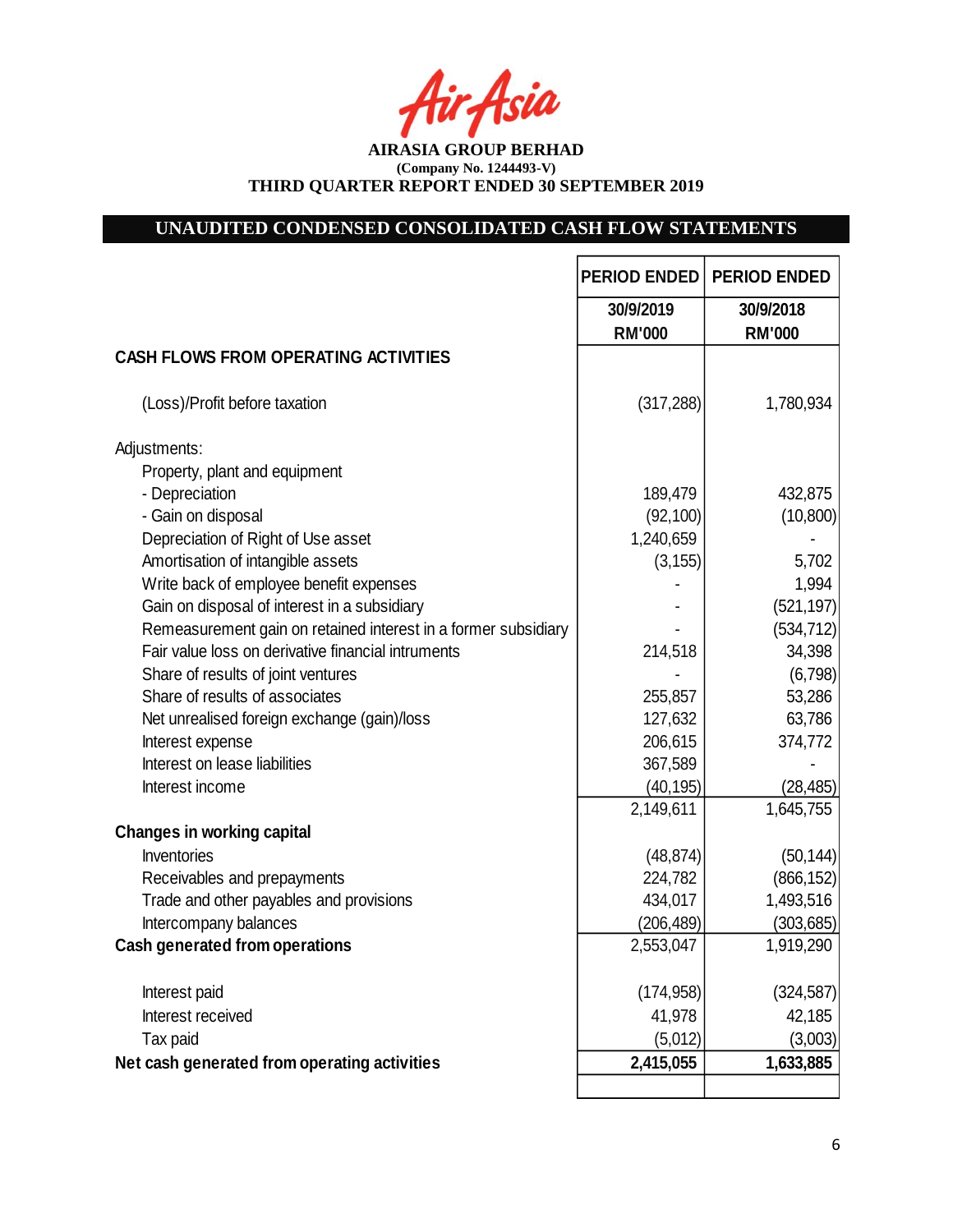fir<sub>f</sub>fsia

**AIRASIA GROUP BERHAD (Company No. 1244493-V) THIRD QUARTER REPORT ENDED 30 SEPTEMBER 2019**

# **UNAUDITED CONDENSED CONSOLIDATED CASH FLOW STATEMENTS**

|                                                                                                                      | <b>PERIOD ENDED</b> | <b>PERIOD ENDED</b>      |
|----------------------------------------------------------------------------------------------------------------------|---------------------|--------------------------|
|                                                                                                                      | 30/9/2019           | 30/9/2018                |
| <b>CASH FLOWS FROM OPERATING ACTIVITIES</b>                                                                          | <b>RM'000</b>       | <b>RM'000</b>            |
|                                                                                                                      |                     |                          |
| (Loss)/Profit before taxation                                                                                        | (317, 288)          | 1,780,934                |
| Adjustments:                                                                                                         |                     |                          |
| Property, plant and equipment                                                                                        |                     |                          |
| - Depreciation                                                                                                       | 189,479             | 432,875                  |
| - Gain on disposal                                                                                                   | (92, 100)           | (10, 800)                |
| Depreciation of Right of Use asset                                                                                   | 1,240,659           |                          |
| Amortisation of intangible assets                                                                                    | (3, 155)            | 5,702                    |
| Write back of employee benefit expenses                                                                              |                     | 1,994                    |
| Gain on disposal of interest in a subsidiary                                                                         |                     | (521, 197)<br>(534, 712) |
| Remeasurement gain on retained interest in a former subsidiary<br>Fair value loss on derivative financial intruments | 214,518             | 34,398                   |
| Share of results of joint ventures                                                                                   |                     | (6,798)                  |
| Share of results of associates                                                                                       | 255,857             | 53,286                   |
| Net unrealised foreign exchange (gain)/loss                                                                          | 127,632             | 63,786                   |
| Interest expense                                                                                                     | 206,615             | 374,772                  |
| Interest on lease liabilities                                                                                        | 367,589             |                          |
| Interest income                                                                                                      | (40, 195)           | (28, 485)                |
|                                                                                                                      | 2,149,611           | 1,645,755                |
| <b>Changes in working capital</b>                                                                                    |                     |                          |
| Inventories                                                                                                          | (48, 874)           | (50, 144)                |
| Receivables and prepayments                                                                                          | 224,782             | (866, 152)               |
| Trade and other payables and provisions                                                                              | 434,017             | 1,493,516                |
| Intercompany balances                                                                                                | (206, 489)          | (303, 685)               |
| <b>Cash generated from operations</b>                                                                                | 2,553,047           | 1,919,290                |
| Interest paid                                                                                                        | (174, 958)          | (324, 587)               |
| Interest received                                                                                                    | 41,978              | 42,185                   |
| Tax paid                                                                                                             | (5,012)             | (3,003)                  |
| Net cash generated from operating activities                                                                         | 2,415,055           | 1,633,885                |
|                                                                                                                      |                     |                          |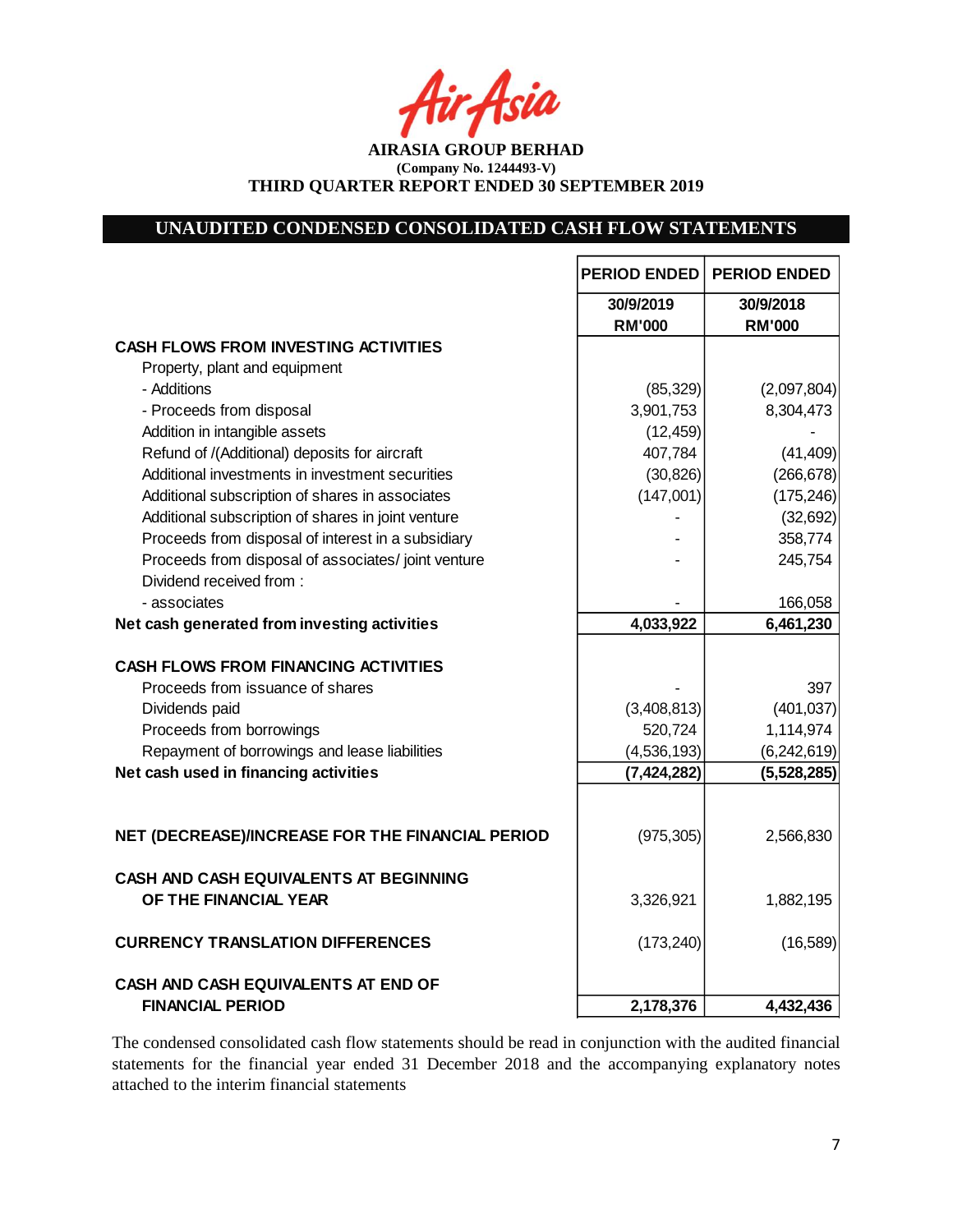Asia

**AIRASIA GROUP BERHAD (Company No. 1244493-V) THIRD QUARTER REPORT ENDED 30 SEPTEMBER 2019**

# **UNAUDITED CONDENSED CONSOLIDATED CASH FLOW STATEMENTS**

|                                                    | <b>PERIOD ENDED</b>        | <b>PERIOD ENDED</b>        |
|----------------------------------------------------|----------------------------|----------------------------|
|                                                    | 30/9/2019<br><b>RM'000</b> | 30/9/2018<br><b>RM'000</b> |
| <b>CASH FLOWS FROM INVESTING ACTIVITIES</b>        |                            |                            |
| Property, plant and equipment                      |                            |                            |
| - Additions                                        | (85, 329)                  | (2,097,804)                |
| - Proceeds from disposal                           | 3,901,753                  | 8,304,473                  |
| Addition in intangible assets                      | (12, 459)                  |                            |
| Refund of /(Additional) deposits for aircraft      | 407,784                    | (41, 409)                  |
| Additional investments in investment securities    | (30, 826)                  | (266, 678)                 |
| Additional subscription of shares in associates    | (147,001)                  | (175, 246)                 |
| Additional subscription of shares in joint venture |                            | (32, 692)                  |
| Proceeds from disposal of interest in a subsidiary |                            | 358,774                    |
| Proceeds from disposal of associates/joint venture |                            | 245,754                    |
| Dividend received from:                            |                            |                            |
| - associates                                       |                            | 166,058                    |
| Net cash generated from investing activities       | 4,033,922                  | 6,461,230                  |
|                                                    |                            |                            |
| <b>CASH FLOWS FROM FINANCING ACTIVITIES</b>        |                            |                            |
| Proceeds from issuance of shares                   |                            | 397                        |
| Dividends paid                                     | (3,408,813)                | (401, 037)                 |
| Proceeds from borrowings                           | 520,724                    | 1,114,974                  |
| Repayment of borrowings and lease liabilities      | (4,536,193)                | (6, 242, 619)              |
| Net cash used in financing activities              | (7, 424, 282)              | (5,528,285)                |
|                                                    |                            |                            |
|                                                    |                            |                            |
| NET (DECREASE)/INCREASE FOR THE FINANCIAL PERIOD   | (975, 305)                 | 2,566,830                  |
|                                                    |                            |                            |
| CASH AND CASH EQUIVALENTS AT BEGINNING             |                            |                            |
| OF THE FINANCIAL YEAR                              | 3,326,921                  | 1,882,195                  |
| <b>CURRENCY TRANSLATION DIFFERENCES</b>            | (173, 240)                 | (16, 589)                  |
|                                                    |                            |                            |
| CASH AND CASH EQUIVALENTS AT END OF                |                            |                            |
| <b>FINANCIAL PERIOD</b>                            | 2,178,376                  | 4,432,436                  |

The condensed consolidated cash flow statements should be read in conjunction with the audited financial statements for the financial year ended 31 December 2018 and the accompanying explanatory notes attached to the interim financial statements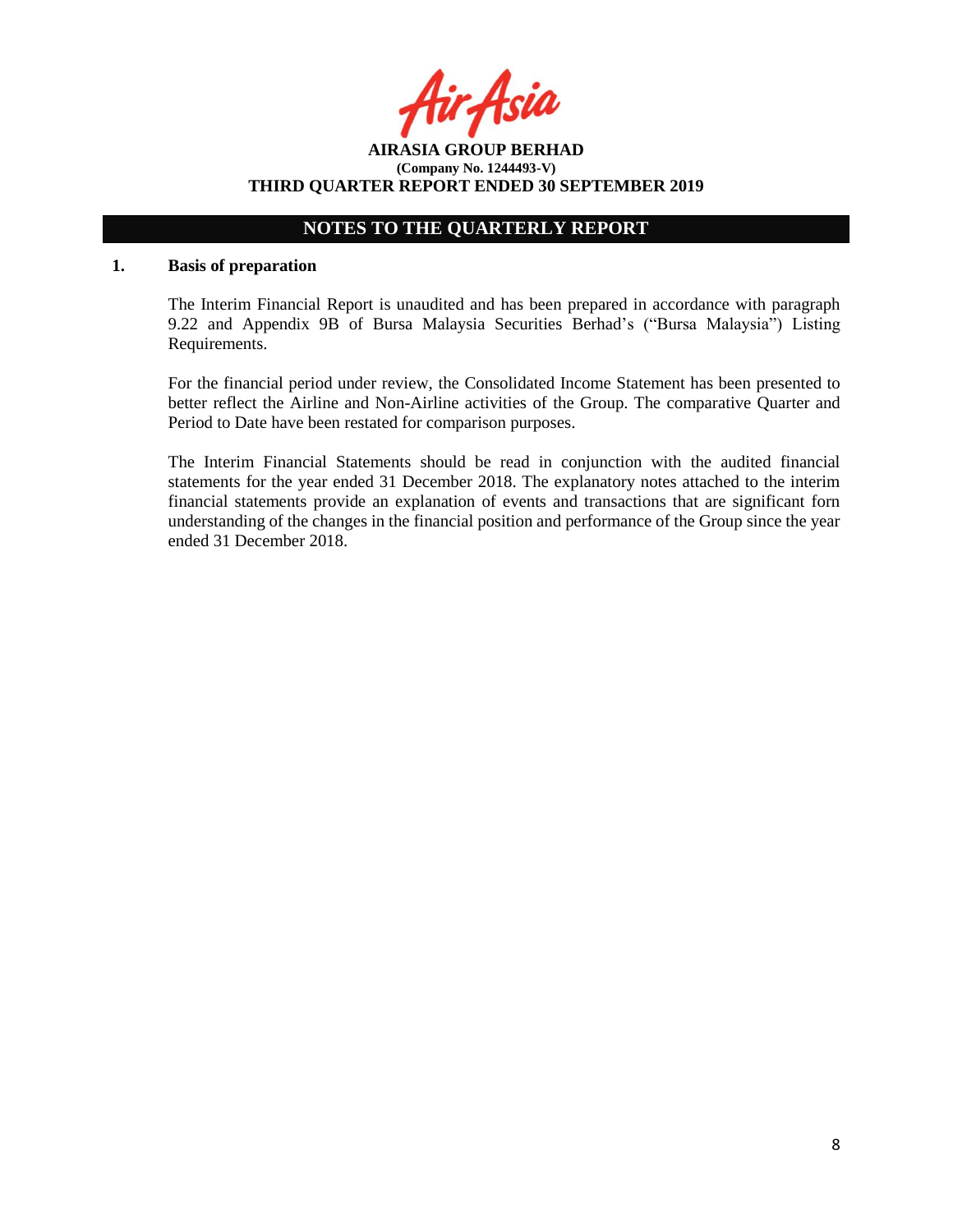Acia

**AIRASIA GROUP BERHAD (Company No. 1244493-V) THIRD QUARTER REPORT ENDED 30 SEPTEMBER 2019**

# **NOTES TO THE QUARTERLY REPORT**

#### **1. Basis of preparation**

The Interim Financial Report is unaudited and has been prepared in accordance with paragraph 9.22 and Appendix 9B of Bursa Malaysia Securities Berhad's ("Bursa Malaysia") Listing Requirements.

For the financial period under review, the Consolidated Income Statement has been presented to better reflect the Airline and Non-Airline activities of the Group. The comparative Quarter and Period to Date have been restated for comparison purposes.

The Interim Financial Statements should be read in conjunction with the audited financial statements for the year ended 31 December 2018. The explanatory notes attached to the interim financial statements provide an explanation of events and transactions that are significant forn understanding of the changes in the financial position and performance of the Group since the year ended 31 December 2018.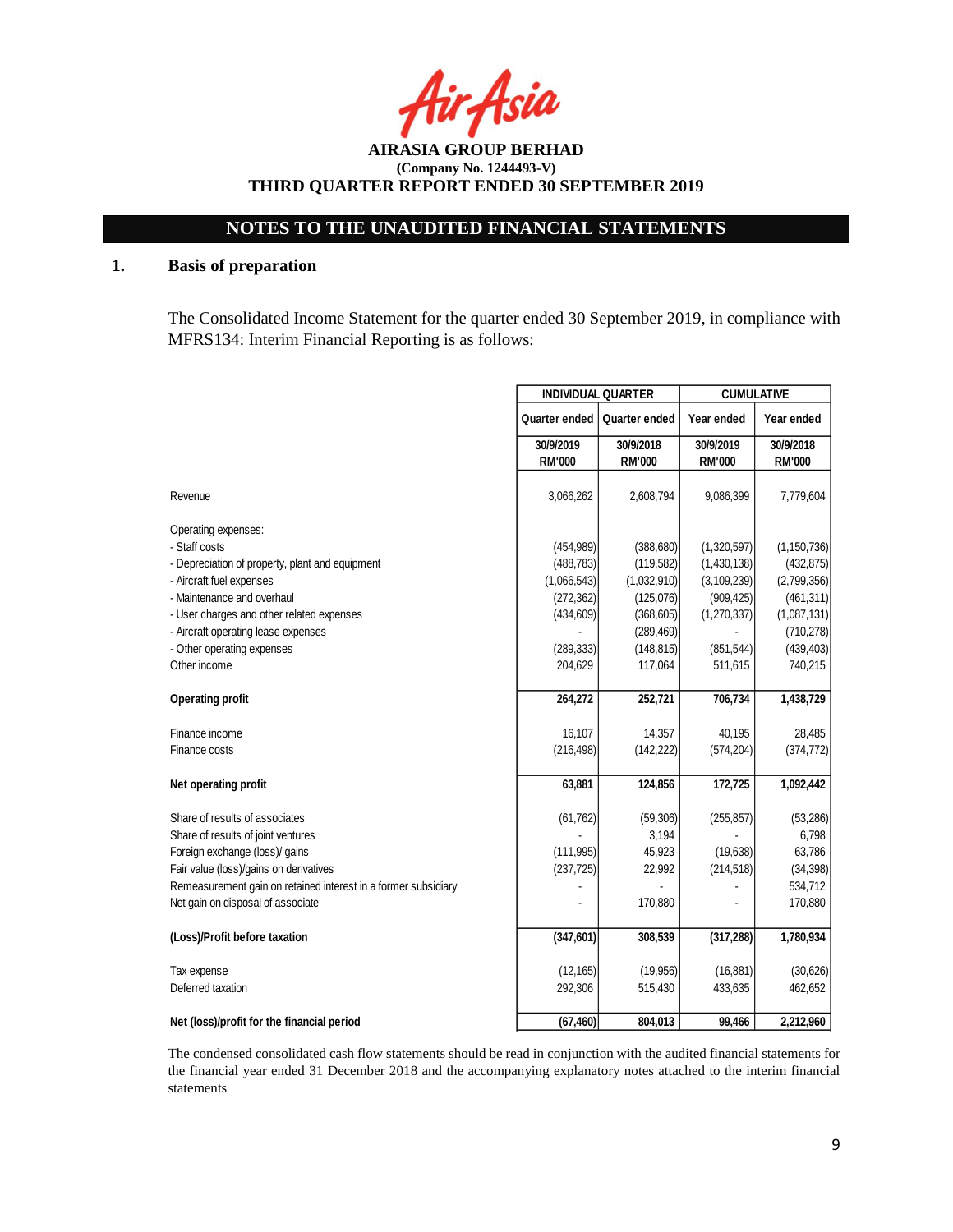Asia

**AIRASIA GROUP BERHAD (Company No. 1244493-V) THIRD QUARTER REPORT ENDED 30 SEPTEMBER 2019**

## **1. Basis of preparation**

The Consolidated Income Statement for the quarter ended 30 September 2019, in compliance with MFRS134: Interim Financial Reporting is as follows:

|                                                                |               | <b>INDIVIDUAL QUARTER</b> |               | <b>CUMULATIVE</b> |  |
|----------------------------------------------------------------|---------------|---------------------------|---------------|-------------------|--|
|                                                                | Quarter ended | Quarter ended             | Year ended    | Year ended        |  |
|                                                                | 30/9/2019     | 30/9/2018                 | 30/9/2019     | 30/9/2018         |  |
|                                                                | <b>RM'000</b> | <b>RM'000</b>             | <b>RM'000</b> | <b>RM'000</b>     |  |
|                                                                | 3,066,262     | 2,608,794                 | 9,086,399     | 7,779,604         |  |
| Operating expenses:                                            |               |                           |               |                   |  |
| - Staff costs                                                  | (454, 989)    | (388, 680)                | (1,320,597)   | (1, 150, 736)     |  |
| - Depreciation of property, plant and equipment                | (488, 783)    | (119, 582)                | (1,430,138)   | (432, 875)        |  |
| - Aircraft fuel expenses                                       | (1,066,543)   | (1,032,910)               | (3, 109, 239) | (2,799,356)       |  |
| - Maintenance and overhaul                                     | (272, 362)    | (125,076)                 | (909, 425)    | (461, 311)        |  |
| - User charges and other related expenses                      | (434, 609)    | (368, 605)                | (1,270,337)   | (1,087,131)       |  |
| - Aircraft operating lease expenses                            |               | (289, 469)                |               | (710, 278)        |  |
| - Other operating expenses                                     | (289, 333)    | (148, 815)                | (851, 544)    | (439, 403)        |  |
| Other income                                                   | 204,629       | 117,064                   | 511,615       | 740,215           |  |
|                                                                | 264,272       | 252,721                   | 706,734       | 1,438,729         |  |
| Finance income                                                 | 16,107        | 14,357                    | 40,195        | 28,485            |  |
| Finance costs                                                  | (216, 498)    | (142, 222)                | (574, 204)    | (374, 772)        |  |
| Net operating profit                                           | 63,881        | 124,856                   | 172,725       | 1,092,442         |  |
| Share of results of associates                                 | (61, 762)     | (59,306)                  | (255, 857)    | (53, 286)         |  |
| Share of results of joint ventures                             |               | 3,194                     |               | 6,798             |  |
| Foreign exchange (loss)/ gains                                 | (111, 995)    | 45,923                    | (19,638)      | 63,786            |  |
| Fair value (loss)/gains on derivatives                         | (237, 725)    | 22,992                    | (214, 518)    | (34, 398)         |  |
| Remeasurement gain on retained interest in a former subsidiary |               |                           |               | 534,712           |  |
| Net gain on disposal of associate                              |               | 170,880                   |               | 170,880           |  |
| (Loss)/Profit before taxation                                  | (347, 601)    | 308,539                   | (317, 288)    | 1,780,934         |  |
| Tax expense                                                    | (12, 165)     | (19,956)                  | (16, 881)     | (30, 626)         |  |
| Deferred taxation                                              | 292,306       | 515,430                   | 433,635       | 462,652           |  |
| Net (loss)/profit for the financial period                     | (67, 460)     | 804,013                   | 99,466        | 2,212,960         |  |

The condensed consolidated cash flow statements should be read in conjunction with the audited financial statements for the financial year ended 31 December 2018 and the accompanying explanatory notes attached to the interim financial statements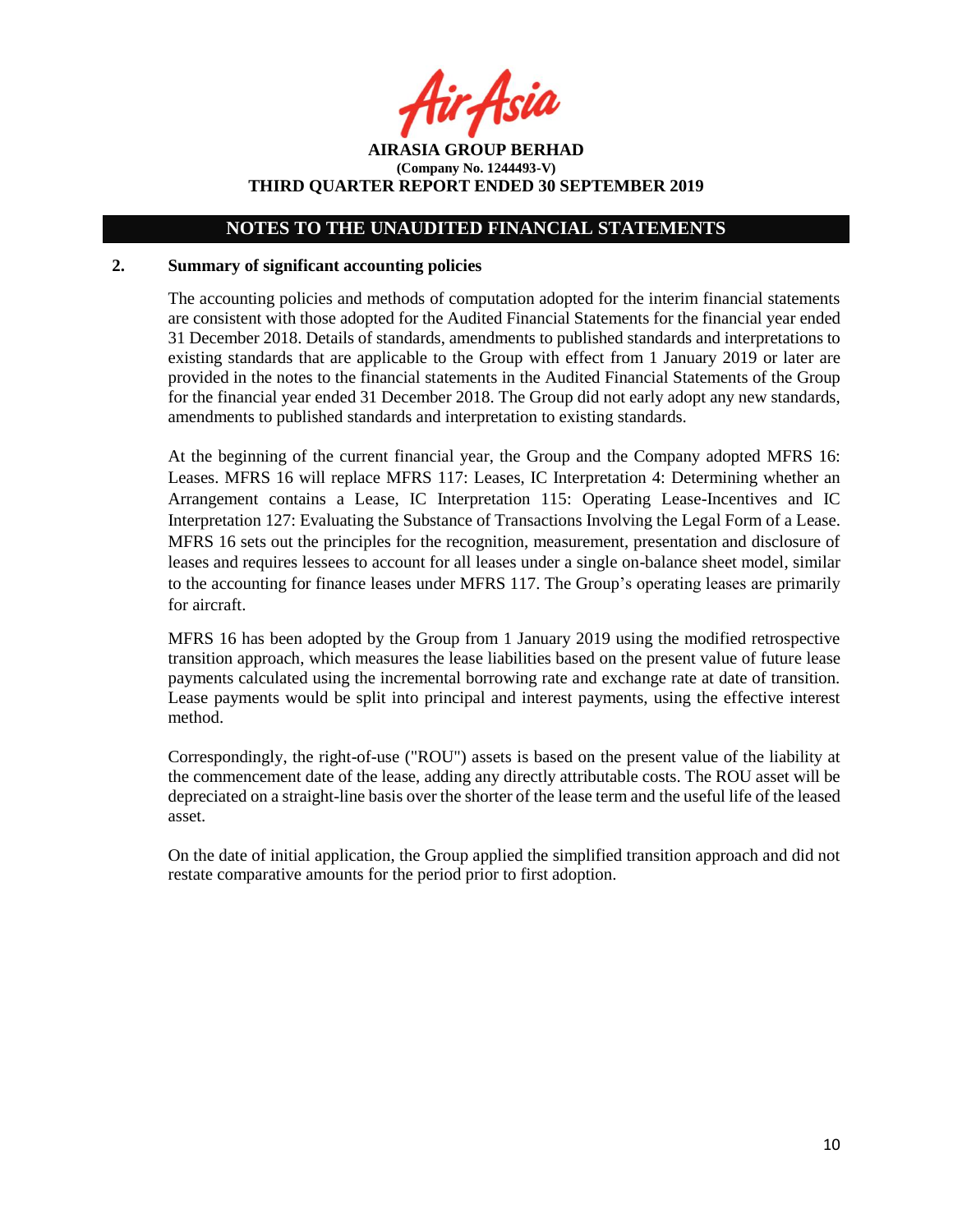r Asia

**AIRASIA GROUP BERHAD (Company No. 1244493-V) THIRD QUARTER REPORT ENDED 30 SEPTEMBER 2019**

### **2. Summary of significant accounting policies**

The accounting policies and methods of computation adopted for the interim financial statements are consistent with those adopted for the Audited Financial Statements for the financial year ended 31 December 2018. Details of standards, amendments to published standards and interpretations to existing standards that are applicable to the Group with effect from 1 January 2019 or later are provided in the notes to the financial statements in the Audited Financial Statements of the Group for the financial year ended 31 December 2018. The Group did not early adopt any new standards, amendments to published standards and interpretation to existing standards.

At the beginning of the current financial year, the Group and the Company adopted MFRS 16: Leases. MFRS 16 will replace MFRS 117: Leases, IC Interpretation 4: Determining whether an Arrangement contains a Lease, IC Interpretation 115: Operating Lease-Incentives and IC Interpretation 127: Evaluating the Substance of Transactions Involving the Legal Form of a Lease. MFRS 16 sets out the principles for the recognition, measurement, presentation and disclosure of leases and requires lessees to account for all leases under a single on-balance sheet model, similar to the accounting for finance leases under MFRS 117. The Group's operating leases are primarily for aircraft.

MFRS 16 has been adopted by the Group from 1 January 2019 using the modified retrospective transition approach, which measures the lease liabilities based on the present value of future lease payments calculated using the incremental borrowing rate and exchange rate at date of transition. Lease payments would be split into principal and interest payments, using the effective interest method.

Correspondingly, the right-of-use ("ROU") assets is based on the present value of the liability at the commencement date of the lease, adding any directly attributable costs. The ROU asset will be depreciated on a straight-line basis over the shorter of the lease term and the useful life of the leased asset.

On the date of initial application, the Group applied the simplified transition approach and did not restate comparative amounts for the period prior to first adoption.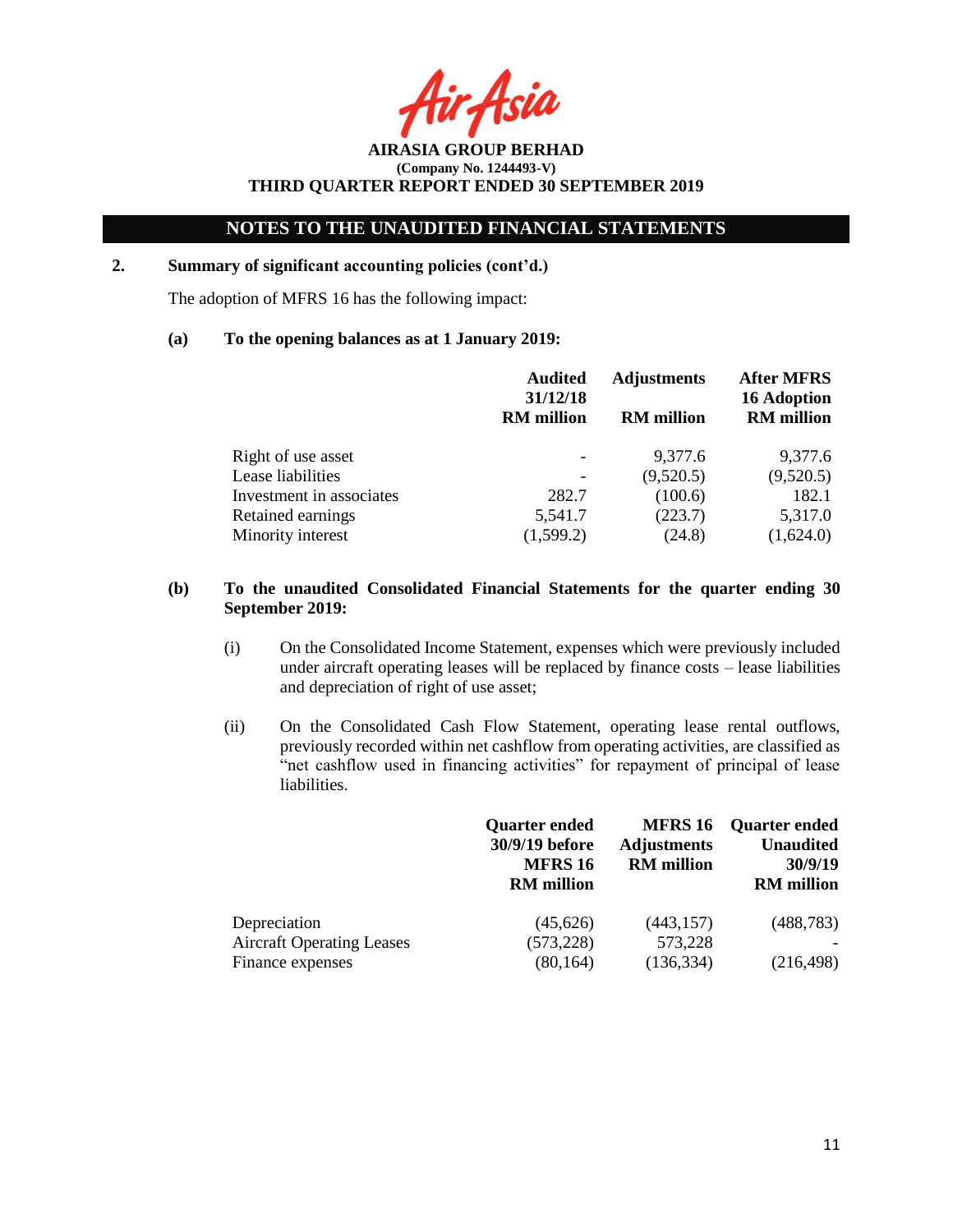Acit

**AIRASIA GROUP BERHAD (Company No. 1244493-V) THIRD QUARTER REPORT ENDED 30 SEPTEMBER 2019**

# **2. Summary of significant accounting policies (cont'd.)**

The adoption of MFRS 16 has the following impact:

## **(a) To the opening balances as at 1 January 2019:**

|                          | <b>Audited</b><br>31/12/18<br><b>RM</b> million | <b>Adjustments</b><br><b>RM</b> million | <b>After MFRS</b><br><b>16 Adoption</b><br><b>RM</b> million |
|--------------------------|-------------------------------------------------|-----------------------------------------|--------------------------------------------------------------|
| Right of use asset       |                                                 | 9,377.6                                 | 9,377.6                                                      |
| Lease liabilities        |                                                 | (9,520.5)                               | (9,520.5)                                                    |
| Investment in associates | 282.7                                           | (100.6)                                 | 182.1                                                        |
| Retained earnings        | 5,541.7                                         | (223.7)                                 | 5,317.0                                                      |
| Minority interest        | (1,599.2)                                       | (24.8)                                  | (1,624.0)                                                    |

## **(b) To the unaudited Consolidated Financial Statements for the quarter ending 30 September 2019:**

- (i) On the Consolidated Income Statement, expenses which were previously included under aircraft operating leases will be replaced by finance costs – lease liabilities and depreciation of right of use asset;
- (ii) On the Consolidated Cash Flow Statement, operating lease rental outflows, previously recorded within net cashflow from operating activities, are classified as "net cashflow used in financing activities" for repayment of principal of lease liabilities.

|                                  | <b>Quarter ended</b><br>30/9/19 before<br><b>MFRS 16</b><br><b>RM</b> million | <b>MFRS 16</b><br><b>Adjustments</b><br><b>RM</b> million | <b>Quarter ended</b><br><b>Unaudited</b><br>30/9/19<br><b>RM</b> million |
|----------------------------------|-------------------------------------------------------------------------------|-----------------------------------------------------------|--------------------------------------------------------------------------|
| Depreciation                     | (45,626)                                                                      | (443, 157)                                                | (488, 783)                                                               |
| <b>Aircraft Operating Leases</b> | (573, 228)                                                                    | 573,228                                                   |                                                                          |
| Finance expenses                 | (80, 164)                                                                     | (136, 334)                                                | (216, 498)                                                               |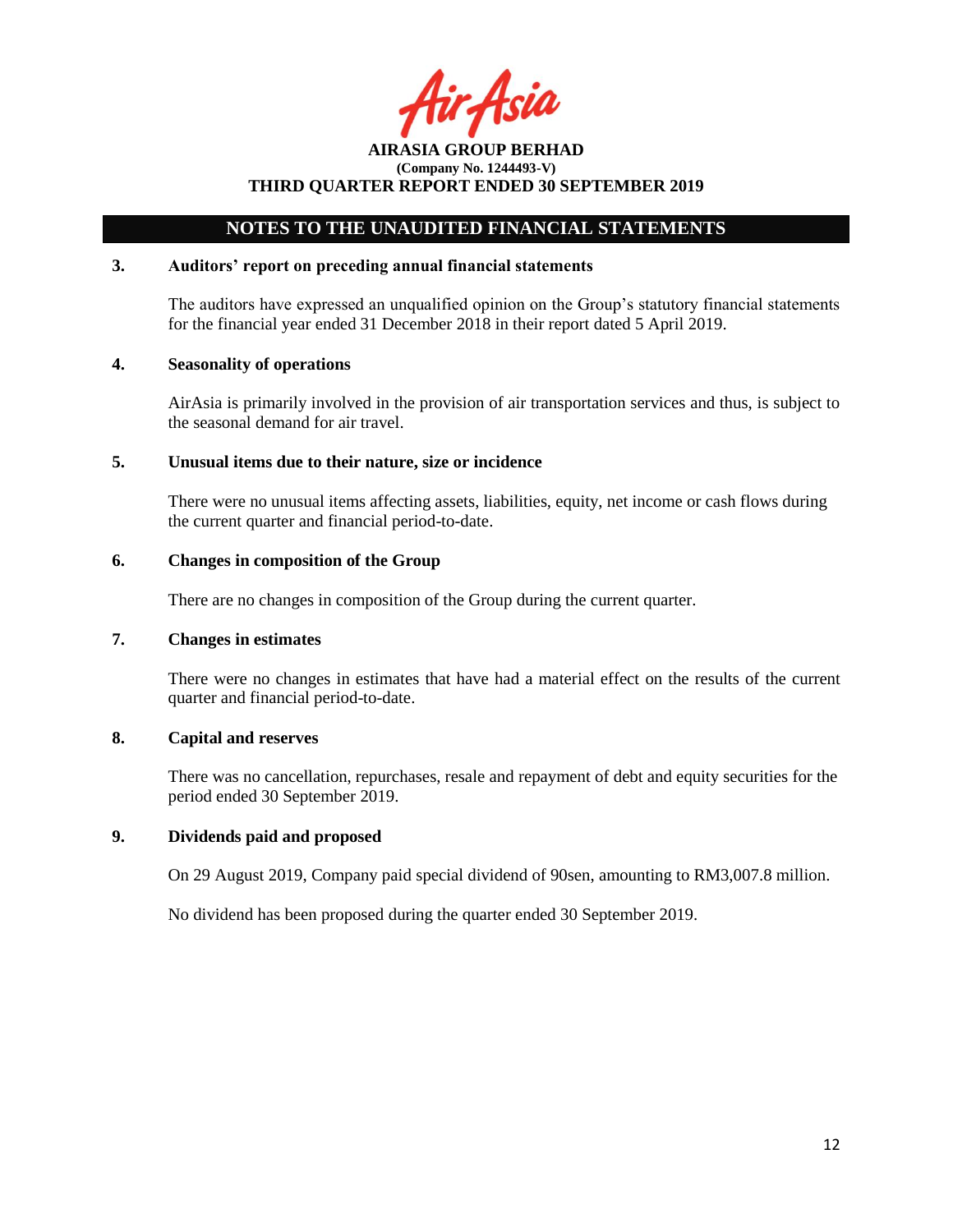Asil

# **NOTES TO THE UNAUDITED FINANCIAL STATEMENTS**

## **3. Auditors' report on preceding annual financial statements**

The auditors have expressed an unqualified opinion on the Group's statutory financial statements for the financial year ended 31 December 2018 in their report dated 5 April 2019.

## **4. Seasonality of operations**

AirAsia is primarily involved in the provision of air transportation services and thus, is subject to the seasonal demand for air travel.

#### **5. Unusual items due to their nature, size or incidence**

There were no unusual items affecting assets, liabilities, equity, net income or cash flows during the current quarter and financial period-to-date.

### **6. Changes in composition of the Group**

There are no changes in composition of the Group during the current quarter.

### **7. Changes in estimates**

There were no changes in estimates that have had a material effect on the results of the current quarter and financial period-to-date.

## **8. Capital and reserves**

There was no cancellation, repurchases, resale and repayment of debt and equity securities for the period ended 30 September 2019.

## **9. Dividends paid and proposed**

On 29 August 2019, Company paid special dividend of 90sen, amounting to RM3,007.8 million.

No dividend has been proposed during the quarter ended 30 September 2019.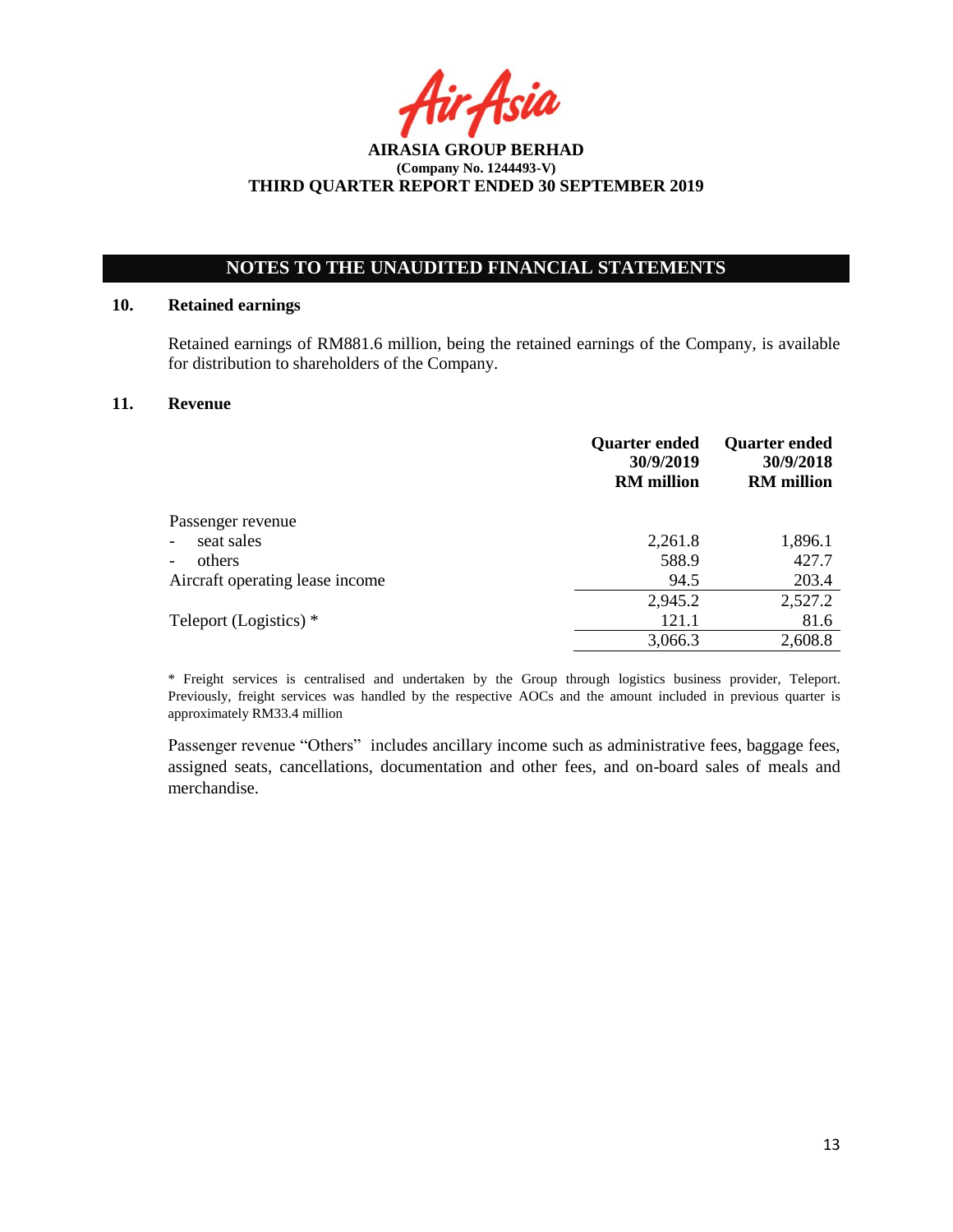Asia

# **NOTES TO THE UNAUDITED FINANCIAL STATEMENTS**

## **10. Retained earnings**

Retained earnings of RM881.6 million, being the retained earnings of the Company, is available for distribution to shareholders of the Company.

## **11. Revenue**

|                                        | <b>Quarter ended</b><br>30/9/2019<br><b>RM</b> million | <b>Quarter ended</b><br>30/9/2018<br><b>RM</b> million |
|----------------------------------------|--------------------------------------------------------|--------------------------------------------------------|
| Passenger revenue                      |                                                        |                                                        |
| seat sales<br>$\overline{\phantom{0}}$ | 2,261.8                                                | 1,896.1                                                |
| others<br>-                            | 588.9                                                  | 427.7                                                  |
| Aircraft operating lease income        | 94.5                                                   | 203.4                                                  |
|                                        | 2,945.2                                                | 2,527.2                                                |
| Teleport (Logistics) *                 | 121.1                                                  | 81.6                                                   |
|                                        | 3,066.3                                                | 2,608.8                                                |

\* Freight services is centralised and undertaken by the Group through logistics business provider, Teleport. Previously, freight services was handled by the respective AOCs and the amount included in previous quarter is approximately RM33.4 million

Passenger revenue "Others" includes ancillary income such as administrative fees, baggage fees, assigned seats, cancellations, documentation and other fees, and on-board sales of meals and merchandise.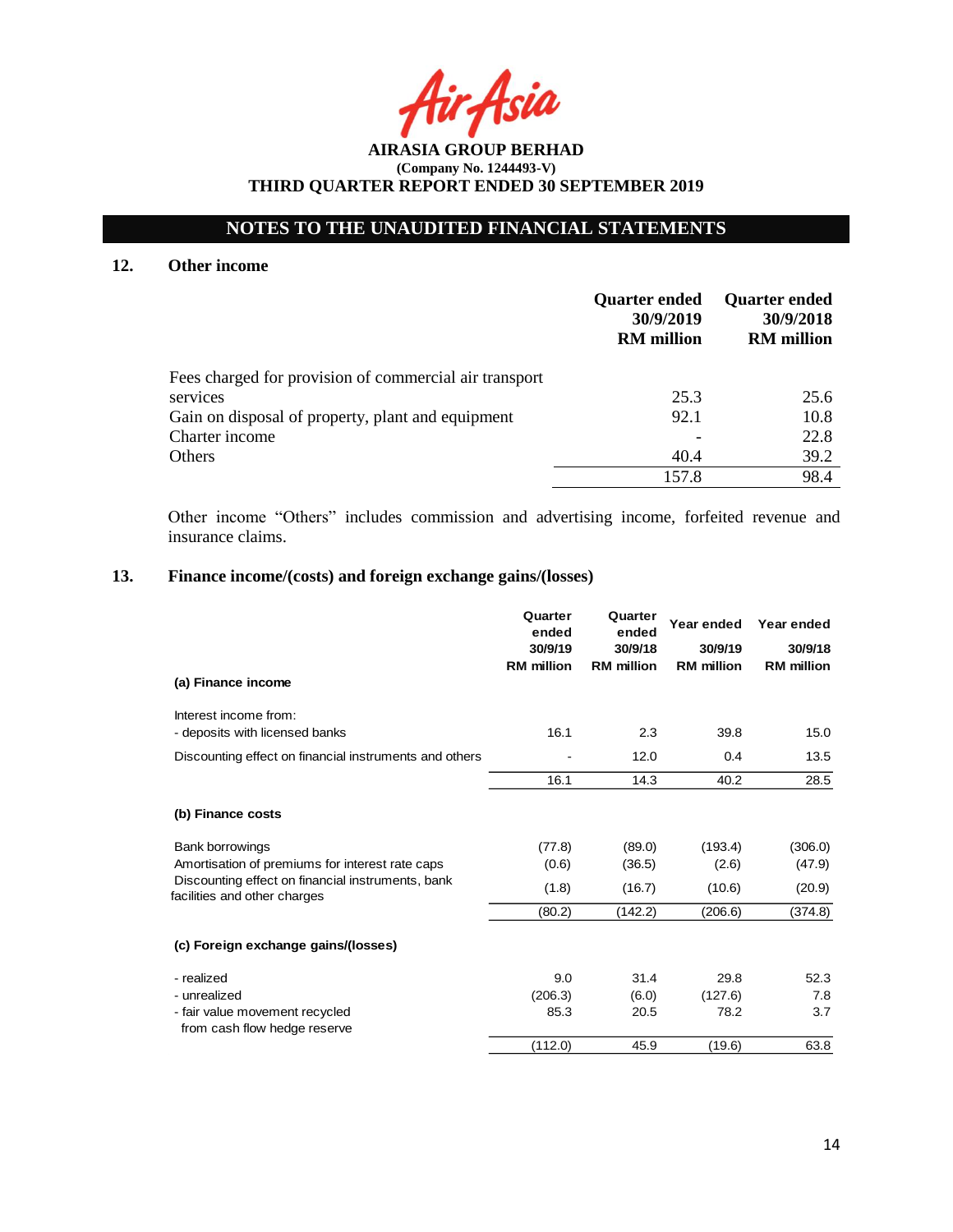# **NOTES TO THE UNAUDITED FINANCIAL STATEMENTS**

## **12. Other income**

|                                                        | <b>Quarter ended</b><br>30/9/2019<br><b>RM</b> million | <b>Quarter ended</b><br>30/9/2018<br><b>RM</b> million |
|--------------------------------------------------------|--------------------------------------------------------|--------------------------------------------------------|
| Fees charged for provision of commercial air transport |                                                        |                                                        |
| services                                               | 25.3                                                   | 25.6                                                   |
| Gain on disposal of property, plant and equipment      | 92.1                                                   | 10.8                                                   |
| Charter income                                         |                                                        | 22.8                                                   |
| Others                                                 | 40.4                                                   | 39.2                                                   |
|                                                        | 157.8                                                  | 98.4                                                   |

Other income "Others" includes commission and advertising income, forfeited revenue and insurance claims.

# **13. Finance income/(costs) and foreign exchange gains/(losses)**

|                                                                                   | Quarter<br>ended<br>30/9/19<br><b>RM</b> million | Quarter<br>ended<br>30/9/18<br><b>RM</b> million | Year ended<br>30/9/19<br><b>RM</b> million | Year ended<br>30/9/18<br><b>RM</b> million |
|-----------------------------------------------------------------------------------|--------------------------------------------------|--------------------------------------------------|--------------------------------------------|--------------------------------------------|
| (a) Finance income                                                                |                                                  |                                                  |                                            |                                            |
| Interest income from:                                                             |                                                  |                                                  |                                            |                                            |
| - deposits with licensed banks                                                    | 16.1                                             | 2.3                                              | 39.8                                       | 15.0                                       |
| Discounting effect on financial instruments and others                            |                                                  | 12.0                                             | 0.4                                        | 13.5                                       |
|                                                                                   | 16.1                                             | 14.3                                             | 40.2                                       | 28.5                                       |
| (b) Finance costs                                                                 |                                                  |                                                  |                                            |                                            |
| Bank borrowings                                                                   | (77.8)                                           | (89.0)                                           | (193.4)                                    | (306.0)                                    |
| Amortisation of premiums for interest rate caps                                   | (0.6)                                            | (36.5)                                           | (2.6)                                      | (47.9)                                     |
| Discounting effect on financial instruments, bank<br>facilities and other charges | (1.8)                                            | (16.7)                                           | (10.6)                                     | (20.9)                                     |
|                                                                                   | (80.2)                                           | (142.2)                                          | (206.6)                                    | (374.8)                                    |
| (c) Foreign exchange gains/(losses)                                               |                                                  |                                                  |                                            |                                            |
| - realized                                                                        | 9.0                                              | 31.4                                             | 29.8                                       | 52.3                                       |
| - unrealized                                                                      | (206.3)                                          | (6.0)                                            | (127.6)                                    | 7.8                                        |
| - fair value movement recycled                                                    | 85.3                                             | 20.5                                             | 78.2                                       | 3.7                                        |
| from cash flow hedge reserve                                                      | (112.0)                                          | 45.9                                             | (19.6)                                     | 63.8                                       |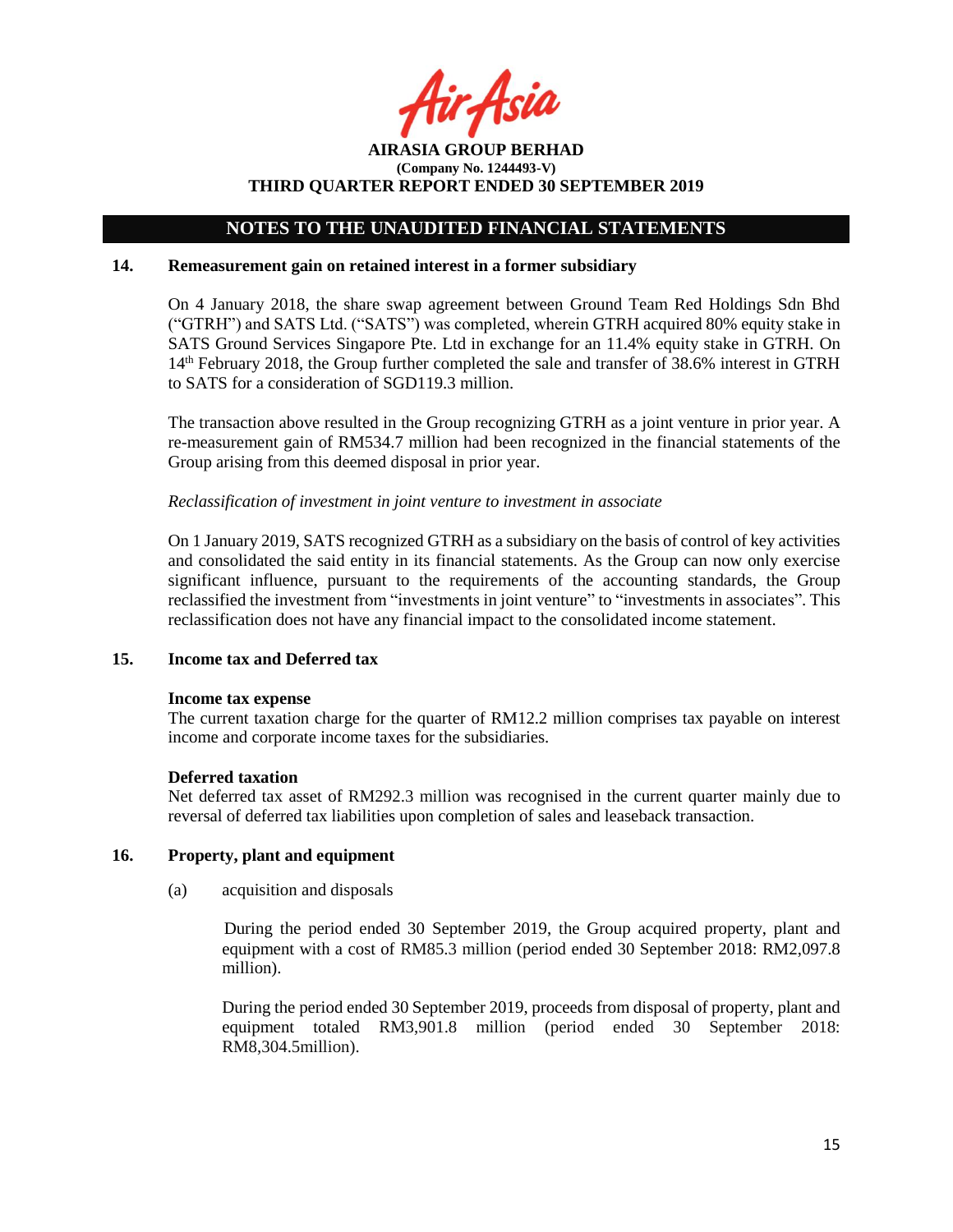Asil

**AIRASIA GROUP BERHAD (Company No. 1244493-V) THIRD QUARTER REPORT ENDED 30 SEPTEMBER 2019**

### **14. Remeasurement gain on retained interest in a former subsidiary**

On 4 January 2018, the share swap agreement between Ground Team Red Holdings Sdn Bhd ("GTRH") and SATS Ltd. ("SATS") was completed, wherein GTRH acquired 80% equity stake in SATS Ground Services Singapore Pte. Ltd in exchange for an 11.4% equity stake in GTRH. On 14th February 2018, the Group further completed the sale and transfer of 38.6% interest in GTRH to SATS for a consideration of SGD119.3 million.

The transaction above resulted in the Group recognizing GTRH as a joint venture in prior year. A re-measurement gain of RM534.7 million had been recognized in the financial statements of the Group arising from this deemed disposal in prior year.

#### *Reclassification of investment in joint venture to investment in associate*

On 1 January 2019, SATS recognized GTRH as a subsidiary on the basis of control of key activities and consolidated the said entity in its financial statements. As the Group can now only exercise significant influence, pursuant to the requirements of the accounting standards, the Group reclassified the investment from "investments in joint venture" to "investments in associates". This reclassification does not have any financial impact to the consolidated income statement.

### **15. Income tax and Deferred tax**

#### **Income tax expense**

The current taxation charge for the quarter of RM12.2 million comprises tax payable on interest income and corporate income taxes for the subsidiaries.

#### **Deferred taxation**

Net deferred tax asset of RM292.3 million was recognised in the current quarter mainly due to reversal of deferred tax liabilities upon completion of sales and leaseback transaction.

## **16. Property, plant and equipment**

(a) acquisition and disposals

During the period ended 30 September 2019, the Group acquired property, plant and equipment with a cost of RM85.3 million (period ended 30 September 2018: RM2,097.8 million).

During the period ended 30 September 2019, proceeds from disposal of property, plant and equipment totaled RM3,901.8 million (period ended 30 September 2018: RM8,304.5million).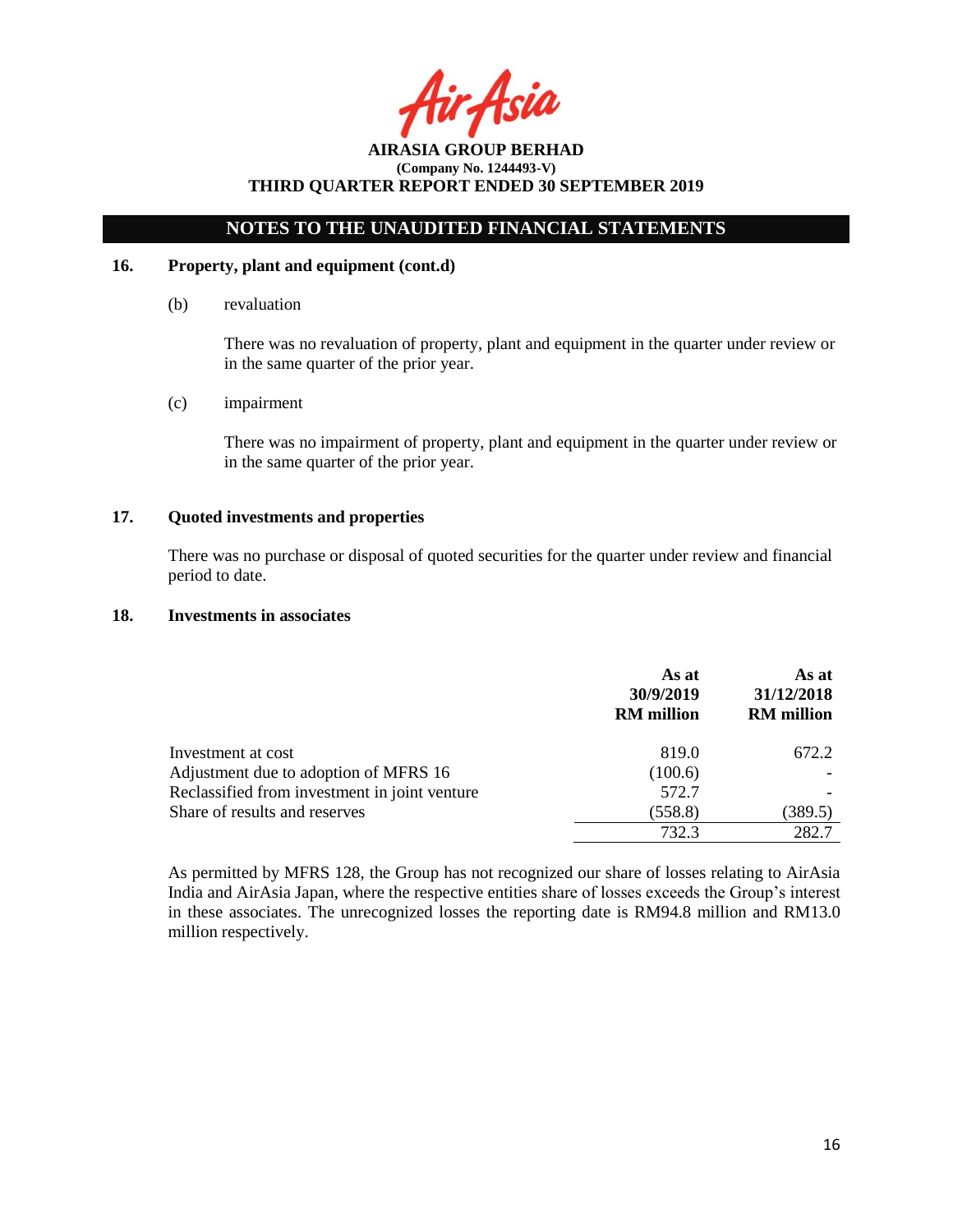Asia

# **NOTES TO THE UNAUDITED FINANCIAL STATEMENTS**

## **16. Property, plant and equipment (cont.d)**

(b) revaluation

There was no revaluation of property, plant and equipment in the quarter under review or in the same quarter of the prior year.

(c) impairment

There was no impairment of property, plant and equipment in the quarter under review or in the same quarter of the prior year.

## **17. Quoted investments and properties**

There was no purchase or disposal of quoted securities for the quarter under review and financial period to date.

### **18. Investments in associates**

|                                               | As at<br>30/9/2019<br><b>RM</b> million | As at<br>31/12/2018<br><b>RM</b> million |
|-----------------------------------------------|-----------------------------------------|------------------------------------------|
| Investment at cost                            | 819.0                                   | 672.2                                    |
| Adjustment due to adoption of MFRS 16         | (100.6)                                 |                                          |
| Reclassified from investment in joint venture | 572.7                                   |                                          |
| Share of results and reserves                 | (558.8)                                 | (389.5)                                  |
|                                               | 732.3                                   | 282.7                                    |

As permitted by MFRS 128, the Group has not recognized our share of losses relating to AirAsia India and AirAsia Japan, where the respective entities share of losses exceeds the Group's interest in these associates. The unrecognized losses the reporting date is RM94.8 million and RM13.0 million respectively.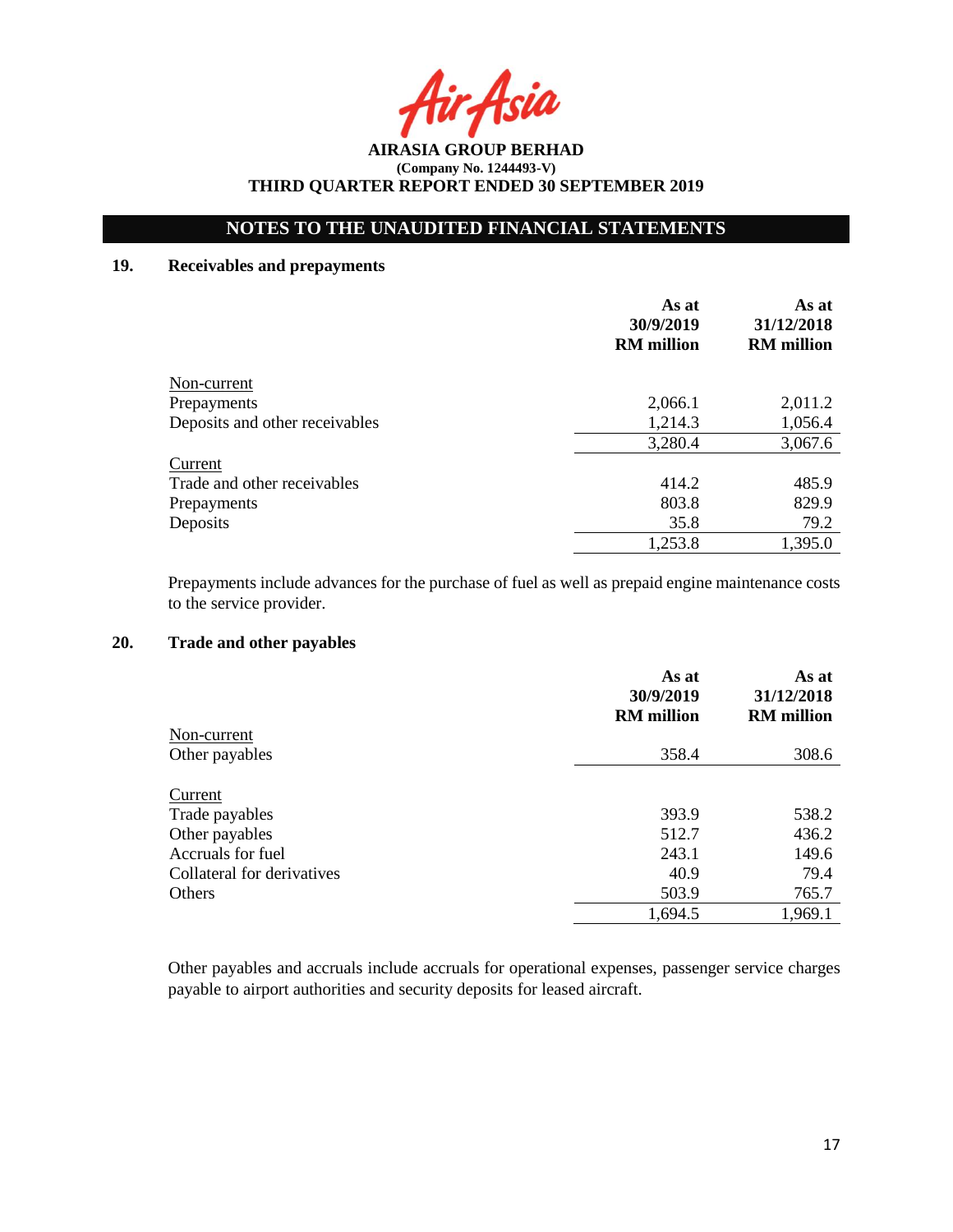Asia

# **NOTES TO THE UNAUDITED FINANCIAL STATEMENTS**

## **19. Receivables and prepayments**

|                                | As at<br>30/9/2019<br><b>RM</b> million | As at<br>31/12/2018<br><b>RM</b> million |
|--------------------------------|-----------------------------------------|------------------------------------------|
| Non-current                    |                                         |                                          |
| Prepayments                    | 2,066.1                                 | 2,011.2                                  |
| Deposits and other receivables | 1,214.3                                 | 1,056.4                                  |
|                                | 3,280.4                                 | 3,067.6                                  |
| Current                        |                                         |                                          |
| Trade and other receivables    | 414.2                                   | 485.9                                    |
| Prepayments                    | 803.8                                   | 829.9                                    |
| Deposits                       | 35.8                                    | 79.2                                     |
|                                | 1,253.8                                 | 1,395.0                                  |

Prepayments include advances for the purchase of fuel as well as prepaid engine maintenance costs to the service provider.

# **20. Trade and other payables**

|                            | As at<br>30/9/2019<br><b>RM</b> million | As at<br>31/12/2018<br><b>RM</b> million |
|----------------------------|-----------------------------------------|------------------------------------------|
| Non-current                |                                         |                                          |
| Other payables             | 358.4                                   | 308.6                                    |
| Current                    |                                         |                                          |
| Trade payables             | 393.9                                   | 538.2                                    |
| Other payables             | 512.7                                   | 436.2                                    |
| Accruals for fuel          | 243.1                                   | 149.6                                    |
| Collateral for derivatives | 40.9                                    | 79.4                                     |
| Others                     | 503.9                                   | 765.7                                    |
|                            | 1,694.5                                 | 1,969.1                                  |

Other payables and accruals include accruals for operational expenses, passenger service charges payable to airport authorities and security deposits for leased aircraft.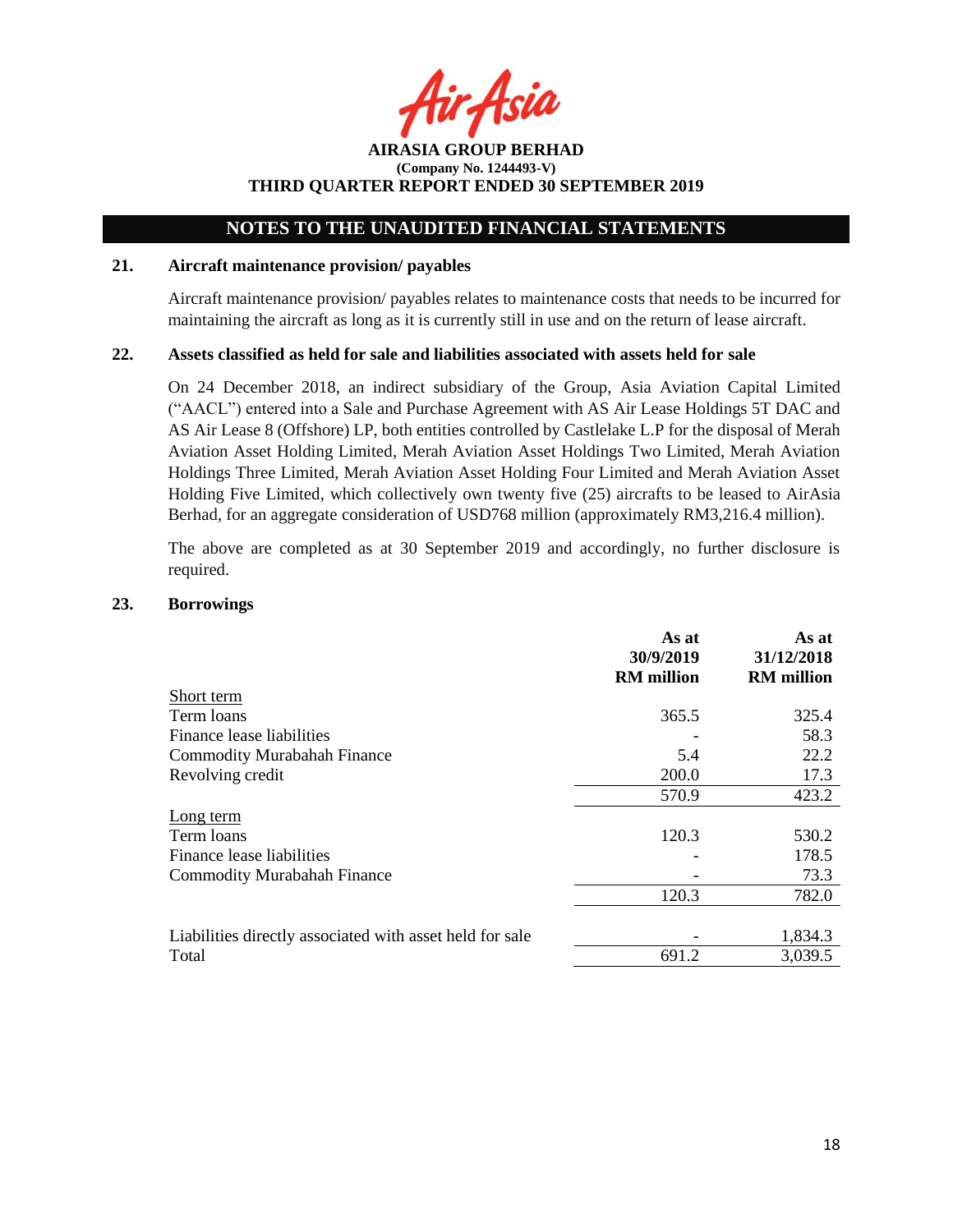Asia

**AIRASIA GROUP BERHAD (Company No. 1244493-V) THIRD QUARTER REPORT ENDED 30 SEPTEMBER 2019**

### **21. Aircraft maintenance provision/ payables**

Aircraft maintenance provision/ payables relates to maintenance costs that needs to be incurred for maintaining the aircraft as long as it is currently still in use and on the return of lease aircraft.

#### **22. Assets classified as held for sale and liabilities associated with assets held for sale**

On 24 December 2018, an indirect subsidiary of the Group, Asia Aviation Capital Limited ("AACL") entered into a Sale and Purchase Agreement with AS Air Lease Holdings 5T DAC and AS Air Lease 8 (Offshore) LP, both entities controlled by Castlelake L.P for the disposal of Merah Aviation Asset Holding Limited, Merah Aviation Asset Holdings Two Limited, Merah Aviation Holdings Three Limited, Merah Aviation Asset Holding Four Limited and Merah Aviation Asset Holding Five Limited, which collectively own twenty five (25) aircrafts to be leased to AirAsia Berhad, for an aggregate consideration of USD768 million (approximately RM3,216.4 million).

The above are completed as at 30 September 2019 and accordingly, no further disclosure is required.

### **23. Borrowings**

|                                                          | As at<br>30/9/2019<br><b>RM</b> million | As at<br>31/12/2018<br><b>RM</b> million |
|----------------------------------------------------------|-----------------------------------------|------------------------------------------|
| Short term                                               |                                         |                                          |
| Term loans                                               | 365.5                                   | 325.4                                    |
| Finance lease liabilities                                |                                         | 58.3                                     |
| <b>Commodity Murabahah Finance</b>                       | 5.4                                     | 22.2                                     |
| Revolving credit                                         | 200.0                                   | 17.3                                     |
|                                                          | 570.9                                   | 423.2                                    |
| Long term                                                |                                         |                                          |
| Term loans                                               | 120.3                                   | 530.2                                    |
| Finance lease liabilities                                |                                         | 178.5                                    |
| <b>Commodity Murabahah Finance</b>                       |                                         | 73.3                                     |
|                                                          | 120.3                                   | 782.0                                    |
|                                                          |                                         |                                          |
| Liabilities directly associated with asset held for sale |                                         | 1,834.3                                  |
| Total                                                    | 691.2                                   | 3,039.5                                  |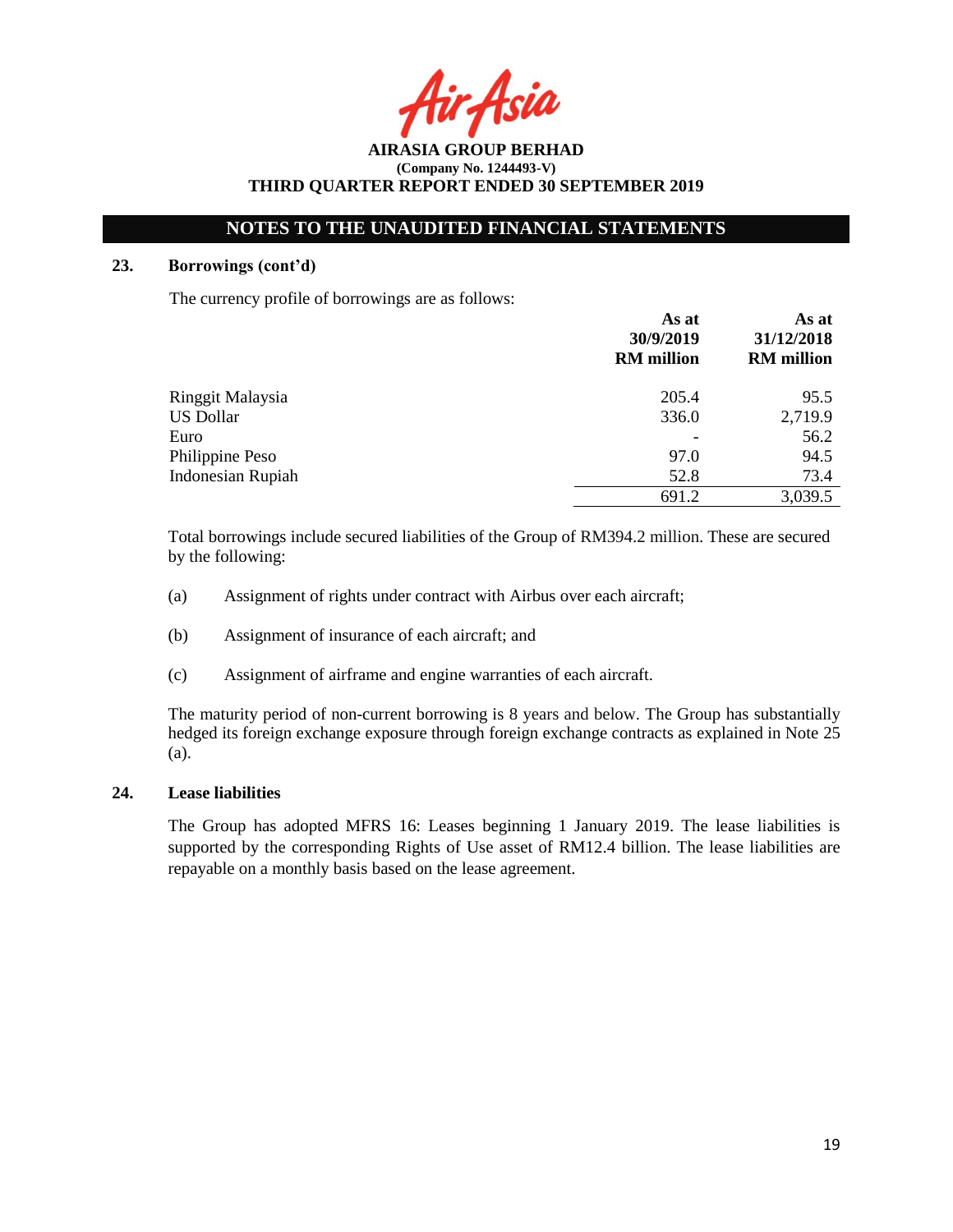Asil

**AIRASIA GROUP BERHAD (Company No. 1244493-V) THIRD QUARTER REPORT ENDED 30 SEPTEMBER 2019**

## **23. Borrowings (cont'd)**

The currency profile of borrowings are as follows:

|                          | As at<br>30/9/2019<br><b>RM</b> million | As at<br>31/12/2018<br><b>RM</b> million |
|--------------------------|-----------------------------------------|------------------------------------------|
| Ringgit Malaysia         | 205.4                                   | 95.5                                     |
| <b>US Dollar</b>         | 336.0                                   | 2,719.9                                  |
| Euro                     |                                         | 56.2                                     |
| Philippine Peso          | 97.0                                    | 94.5                                     |
| <b>Indonesian Rupiah</b> | 52.8                                    | 73.4                                     |
|                          | 691.2                                   | 3,039.5                                  |

Total borrowings include secured liabilities of the Group of RM394.2 million. These are secured by the following:

- (a) Assignment of rights under contract with Airbus over each aircraft;
- (b) Assignment of insurance of each aircraft; and
- (c) Assignment of airframe and engine warranties of each aircraft.

The maturity period of non-current borrowing is 8 years and below. The Group has substantially hedged its foreign exchange exposure through foreign exchange contracts as explained in Note 25 (a).

## **24. Lease liabilities**

The Group has adopted MFRS 16: Leases beginning 1 January 2019. The lease liabilities is supported by the corresponding Rights of Use asset of RM12.4 billion. The lease liabilities are repayable on a monthly basis based on the lease agreement.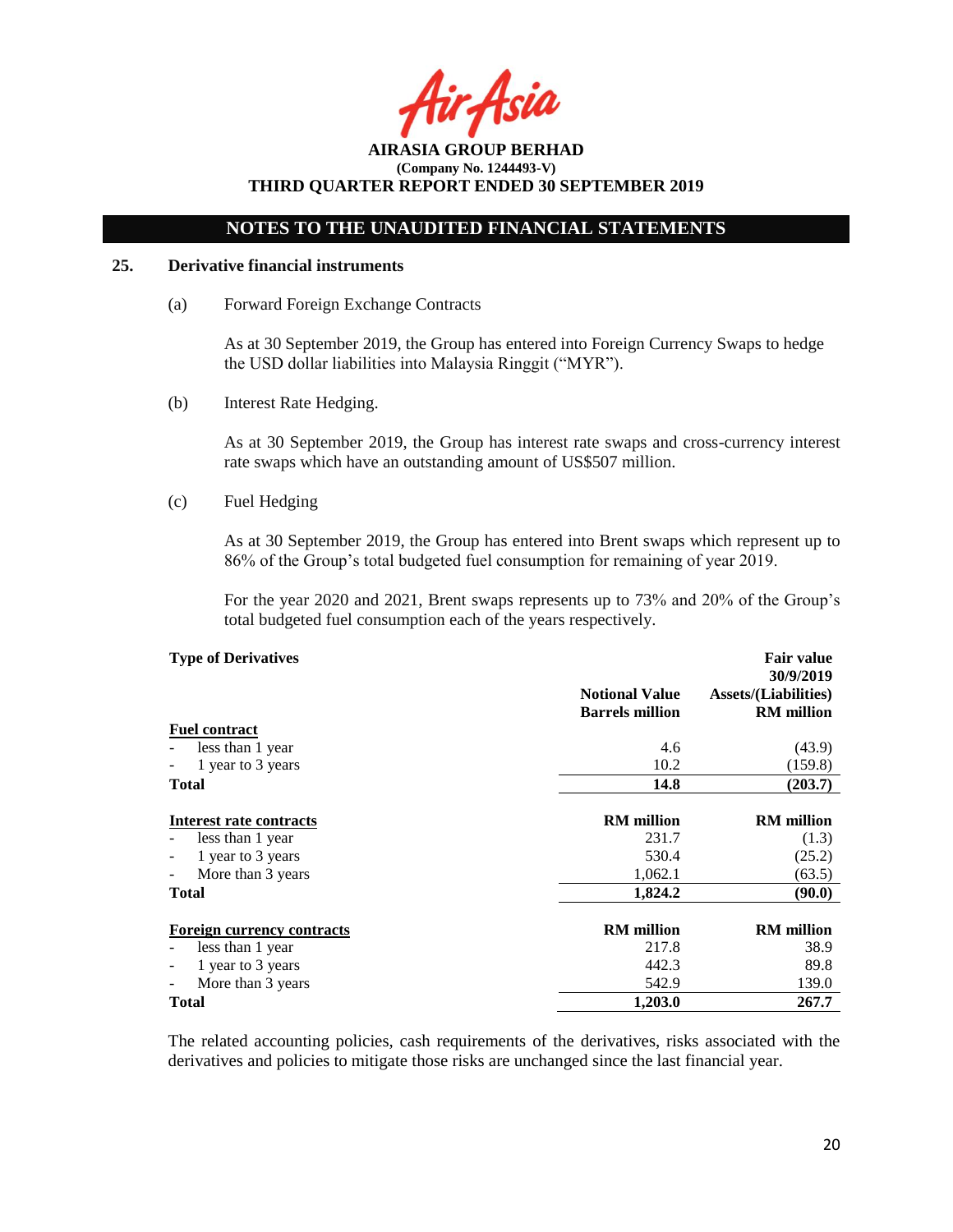Asia

# **NOTES TO THE UNAUDITED FINANCIAL STATEMENTS**

### **25. Derivative financial instruments**

(a) Forward Foreign Exchange Contracts

As at 30 September 2019, the Group has entered into Foreign Currency Swaps to hedge the USD dollar liabilities into Malaysia Ringgit ("MYR").

(b) Interest Rate Hedging.

As at 30 September 2019, the Group has interest rate swaps and cross-currency interest rate swaps which have an outstanding amount of US\$507 million.

(c) Fuel Hedging

As at 30 September 2019, the Group has entered into Brent swaps which represent up to 86% of the Group's total budgeted fuel consumption for remaining of year 2019.

For the year 2020 and 2021, Brent swaps represents up to 73% and 20% of the Group's total budgeted fuel consumption each of the years respectively.

| <b>Type of Derivatives</b>          |                        | <b>Fair value</b><br>30/9/2019 |
|-------------------------------------|------------------------|--------------------------------|
|                                     | <b>Notional Value</b>  | <b>Assets/(Liabilities)</b>    |
|                                     | <b>Barrels</b> million | <b>RM</b> million              |
| <b>Fuel contract</b>                |                        |                                |
| less than 1 year                    | 4.6                    | (43.9)                         |
| 1 year to 3 years<br>$\blacksquare$ | 10.2                   | (159.8)                        |
| <b>Total</b>                        | 14.8                   | (203.7)                        |
|                                     |                        |                                |
| Interest rate contracts             | <b>RM</b> million      | <b>RM</b> million              |
| less than 1 year                    | 231.7                  | (1.3)                          |
| 1 year to 3 years                   | 530.4                  | (25.2)                         |
| More than 3 years                   | 1,062.1                | (63.5)                         |
| Total                               | 1,824.2                | (90.0)                         |
|                                     |                        |                                |
| <b>Foreign currency contracts</b>   | <b>RM</b> million      | <b>RM</b> million              |
| less than 1 year                    | 217.8                  | 38.9                           |
| 1 year to 3 years                   | 442.3                  | 89.8                           |
| More than 3 years                   | 542.9                  | 139.0                          |
| <b>Total</b>                        | 1,203.0                | 267.7                          |

The related accounting policies, cash requirements of the derivatives, risks associated with the derivatives and policies to mitigate those risks are unchanged since the last financial year.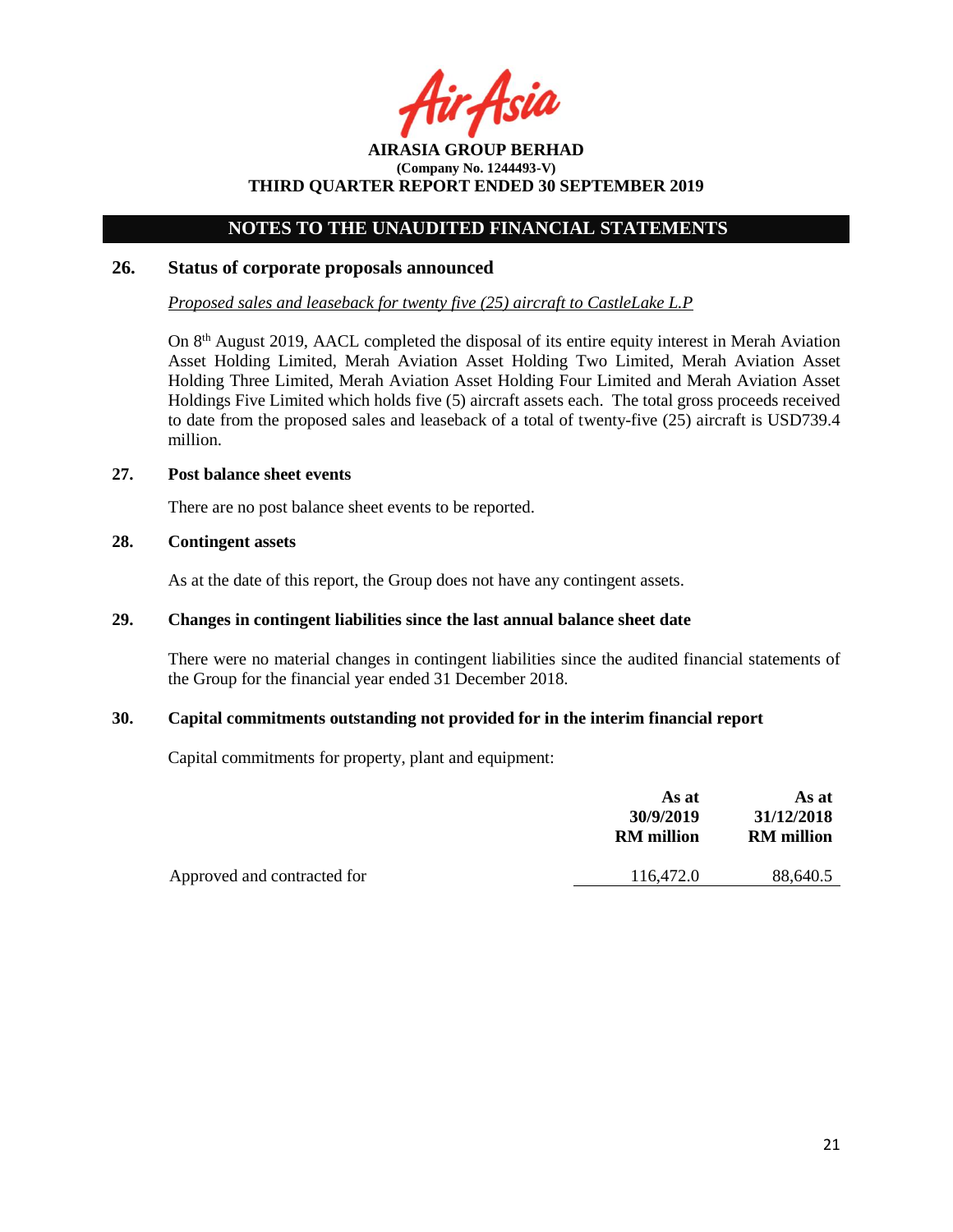Asia

# **NOTES TO THE UNAUDITED FINANCIAL STATEMENTS**

## **26. Status of corporate proposals announced**

*Proposed sales and leaseback for twenty five (25) aircraft to CastleLake L.P*

On 8<sup>th</sup> August 2019, AACL completed the disposal of its entire equity interest in Merah Aviation Asset Holding Limited, Merah Aviation Asset Holding Two Limited, Merah Aviation Asset Holding Three Limited, Merah Aviation Asset Holding Four Limited and Merah Aviation Asset Holdings Five Limited which holds five (5) aircraft assets each. The total gross proceeds received to date from the proposed sales and leaseback of a total of twenty-five (25) aircraft is USD739.4 million.

### **27. Post balance sheet events**

There are no post balance sheet events to be reported.

# **28. Contingent assets**

As at the date of this report, the Group does not have any contingent assets.

# **29. Changes in contingent liabilities since the last annual balance sheet date**

There were no material changes in contingent liabilities since the audited financial statements of the Group for the financial year ended 31 December 2018.

## **30. Capital commitments outstanding not provided for in the interim financial report**

Capital commitments for property, plant and equipment:

|                             | As at<br>30/9/2019<br><b>RM</b> million | As at<br>31/12/2018<br><b>RM</b> million |
|-----------------------------|-----------------------------------------|------------------------------------------|
| Approved and contracted for | 116,472.0                               | 88,640.5                                 |
|                             |                                         |                                          |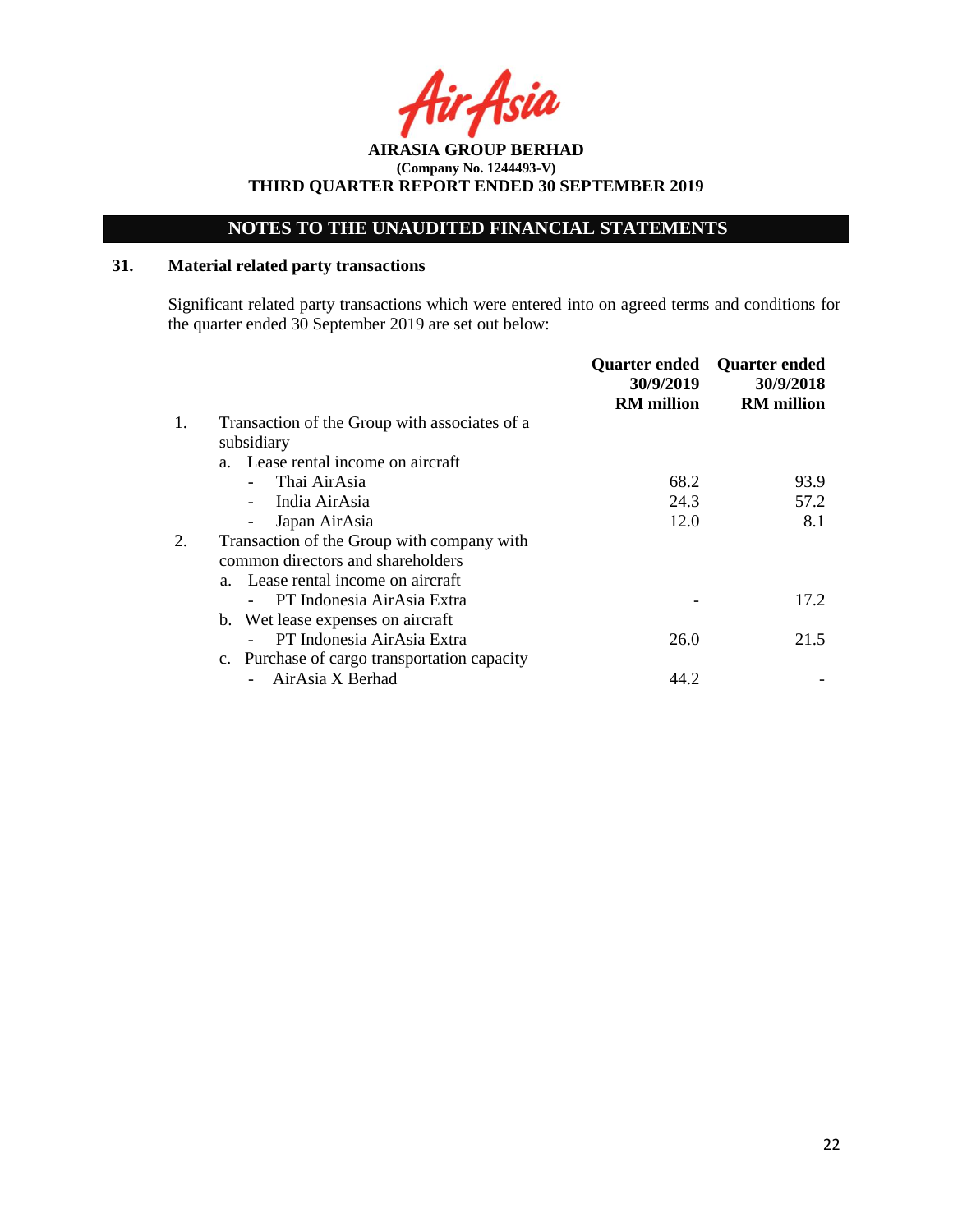**AIRASIA GROUP BERHAD (Company No. 1244493-V) THIRD QUARTER REPORT ENDED 30 SEPTEMBER 2019**

# **31. Material related party transactions**

Significant related party transactions which were entered into on agreed terms and conditions for the quarter ended 30 September 2019 are set out below:

|    |                                               | <b>Quarter ended</b><br>30/9/2019<br><b>RM</b> million | <b>Quarter ended</b><br>30/9/2018<br><b>RM</b> million |
|----|-----------------------------------------------|--------------------------------------------------------|--------------------------------------------------------|
| 1. | Transaction of the Group with associates of a |                                                        |                                                        |
|    | subsidiary                                    |                                                        |                                                        |
|    | a. Lease rental income on aircraft            |                                                        |                                                        |
|    | Thai AirAsia                                  | 68.2                                                   | 93.9                                                   |
|    | India AirAsia                                 | 24.3                                                   | 57.2                                                   |
|    | Japan AirAsia<br>$\overline{\phantom{0}}$     | 12.0                                                   | 8.1                                                    |
| 2. | Transaction of the Group with company with    |                                                        |                                                        |
|    | common directors and shareholders             |                                                        |                                                        |
|    | a. Lease rental income on aircraft            |                                                        |                                                        |
|    | PT Indonesia AirAsia Extra                    |                                                        | 17.2                                                   |
|    | b. Wet lease expenses on aircraft             |                                                        |                                                        |
|    | PT Indonesia AirAsia Extra                    | 26.0                                                   | 21.5                                                   |
|    | c. Purchase of cargo transportation capacity  |                                                        |                                                        |
|    | AirAsia X Berhad                              | 44.2                                                   |                                                        |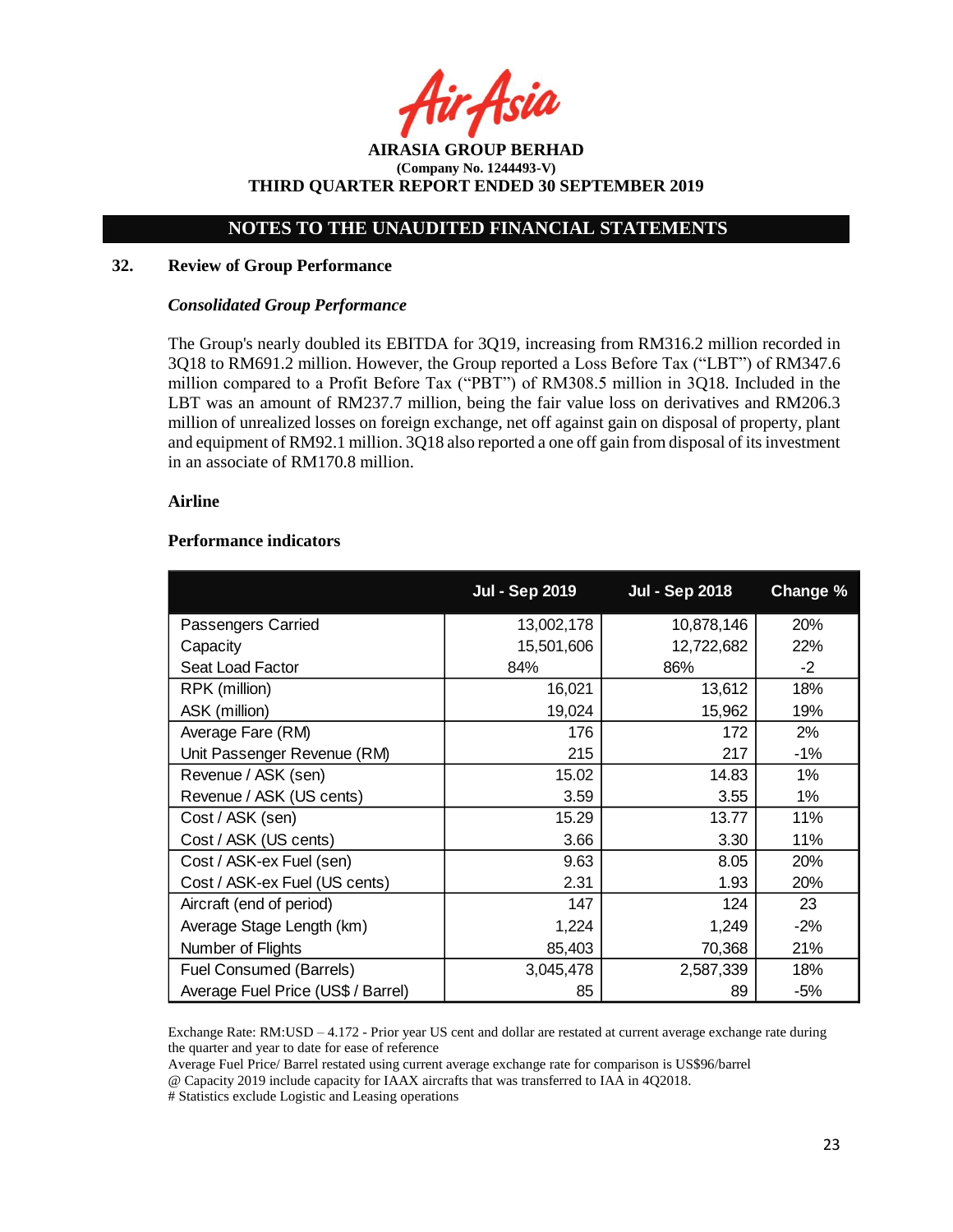Asia

**AIRASIA GROUP BERHAD (Company No. 1244493-V) THIRD QUARTER REPORT ENDED 30 SEPTEMBER 2019**

### **32. Review of Group Performance**

#### *Consolidated Group Performance*

The Group's nearly doubled its EBITDA for 3Q19, increasing from RM316.2 million recorded in 3Q18 to RM691.2 million. However, the Group reported a Loss Before Tax ("LBT") of RM347.6 million compared to a Profit Before Tax ("PBT") of RM308.5 million in 3Q18. Included in the LBT was an amount of RM237.7 million, being the fair value loss on derivatives and RM206.3 million of unrealized losses on foreign exchange, net off against gain on disposal of property, plant and equipment of RM92.1 million. 3Q18 also reported a one off gain from disposal of its investment in an associate of RM170.8 million.

#### **Airline**

## **Performance indicators**

|                                    | <b>Jul - Sep 2019</b> | <b>Jul - Sep 2018</b> | <b>Change %</b> |
|------------------------------------|-----------------------|-----------------------|-----------------|
| Passengers Carried                 | 13,002,178            | 10,878,146            | 20%             |
| Capacity                           | 15,501,606            | 12,722,682            | 22%             |
| Seat Load Factor                   | 84%                   | 86%                   | $-2$            |
| RPK (million)                      | 16,021                | 13,612                | 18%             |
| ASK (million)                      | 19,024                | 15,962                | 19%             |
| Average Fare (RM)                  | 176                   | 172                   | 2%              |
| Unit Passenger Revenue (RM)        | 215                   | 217                   | $-1%$           |
| Revenue / ASK (sen)                | 15.02                 | 14.83                 | 1%              |
| Revenue / ASK (US cents)           | 3.59                  | 3.55                  | $1\%$           |
| Cost / ASK (sen)                   | 15.29                 | 13.77                 | 11%             |
| Cost / ASK (US cents)              | 3.66                  | 3.30                  | 11%             |
| Cost / ASK-ex Fuel (sen)           | 9.63                  | 8.05                  | 20%             |
| Cost / ASK-ex Fuel (US cents)      | 2.31                  | 1.93                  | 20%             |
| Aircraft (end of period)           | 147                   | 124                   | 23              |
| Average Stage Length (km)          | 1,224                 | 1,249                 | $-2%$           |
| Number of Flights                  | 85,403                | 70,368                | 21%             |
| Fuel Consumed (Barrels)            | 3,045,478             | 2,587,339             | 18%             |
| Average Fuel Price (US\$ / Barrel) | 85                    | 89                    | -5%             |

Exchange Rate: RM:USD – 4.172 - Prior year US cent and dollar are restated at current average exchange rate during the quarter and year to date for ease of reference

Average Fuel Price/ Barrel restated using current average exchange rate for comparison is US\$96/barrel @ Capacity 2019 include capacity for IAAX aircrafts that was transferred to IAA in 4Q2018.

# Statistics exclude Logistic and Leasing operations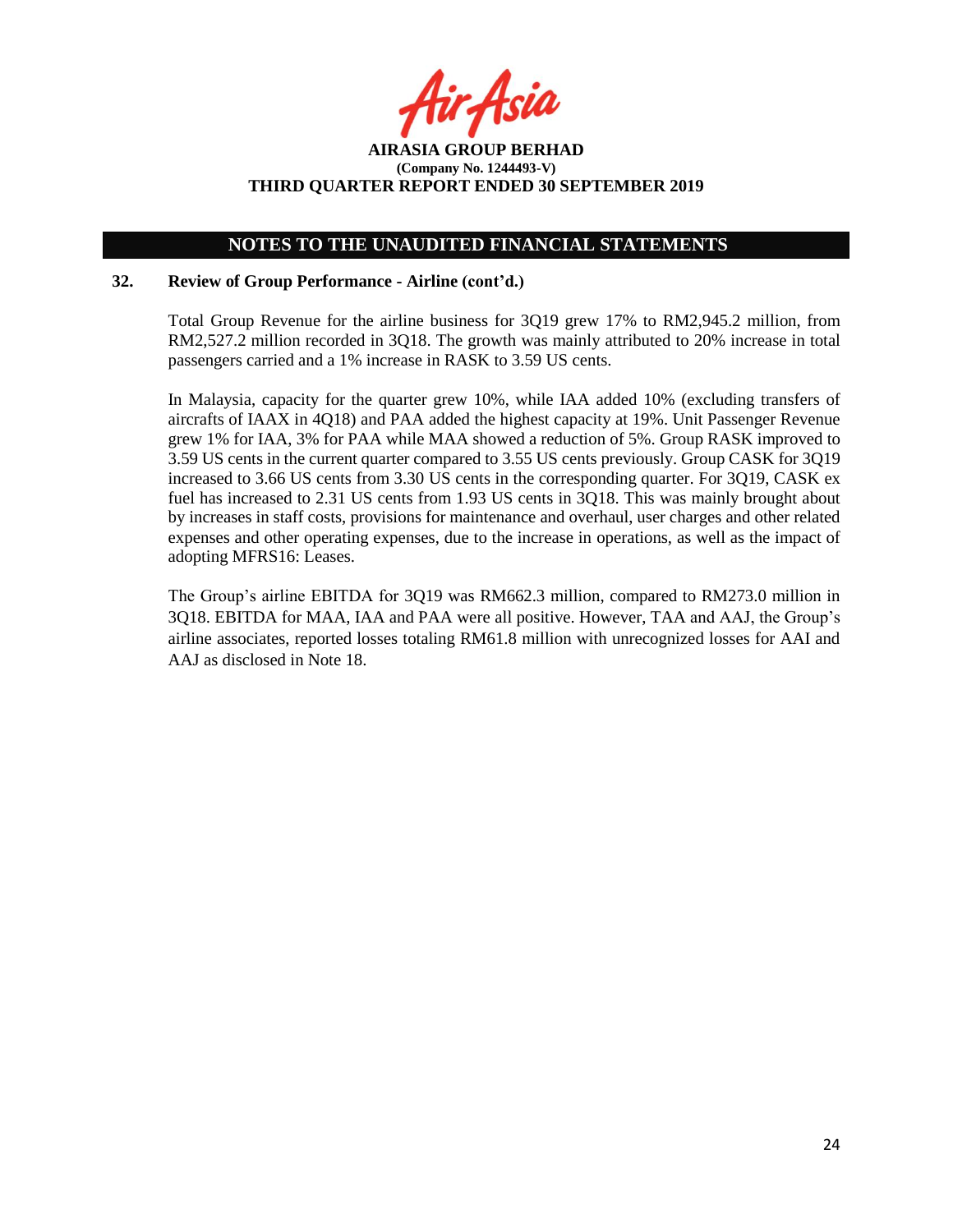# **NOTES TO THE UNAUDITED FINANCIAL STATEMENTS**

## **32. Review of Group Performance - Airline (cont'd.)**

Total Group Revenue for the airline business for 3Q19 grew 17% to RM2,945.2 million, from RM2,527.2 million recorded in 3Q18. The growth was mainly attributed to 20% increase in total passengers carried and a 1% increase in RASK to 3.59 US cents.

In Malaysia, capacity for the quarter grew 10%, while IAA added 10% (excluding transfers of aircrafts of IAAX in 4Q18) and PAA added the highest capacity at 19%. Unit Passenger Revenue grew 1% for IAA, 3% for PAA while MAA showed a reduction of 5%. Group RASK improved to 3.59 US cents in the current quarter compared to 3.55 US cents previously. Group CASK for 3Q19 increased to 3.66 US cents from 3.30 US cents in the corresponding quarter. For 3Q19, CASK ex fuel has increased to 2.31 US cents from 1.93 US cents in 3Q18. This was mainly brought about by increases in staff costs, provisions for maintenance and overhaul, user charges and other related expenses and other operating expenses, due to the increase in operations, as well as the impact of adopting MFRS16: Leases.

The Group's airline EBITDA for 3Q19 was RM662.3 million, compared to RM273.0 million in 3Q18. EBITDA for MAA, IAA and PAA were all positive. However, TAA and AAJ, the Group's airline associates, reported losses totaling RM61.8 million with unrecognized losses for AAI and AAJ as disclosed in Note 18.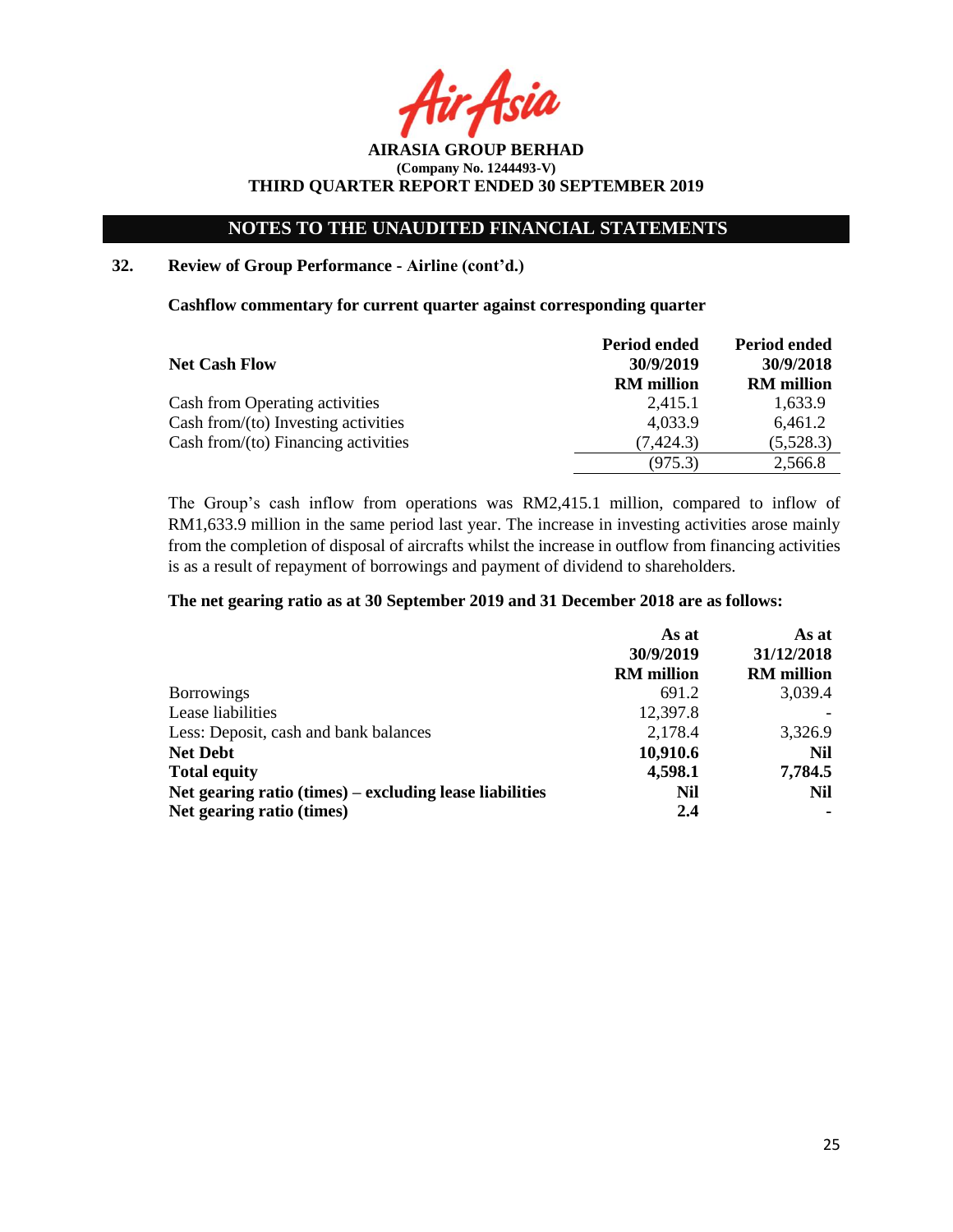Asia

**AIRASIA GROUP BERHAD (Company No. 1244493-V) THIRD QUARTER REPORT ENDED 30 SEPTEMBER 2019**

# **32. Review of Group Performance - Airline (cont'd.)**

**Cashflow commentary for current quarter against corresponding quarter**

|                                        | Period ended      | <b>Period ended</b> |
|----------------------------------------|-------------------|---------------------|
| <b>Net Cash Flow</b>                   | 30/9/2019         | 30/9/2018           |
|                                        | <b>RM</b> million | <b>RM</b> million   |
| Cash from Operating activities         | 2.415.1           | 1,633.9             |
| Cash from/ $(to)$ Investing activities | 4,033.9           | 6,461.2             |
| Cash from/ $(to)$ Financing activities | (7, 424.3)        | (5,528.3)           |
|                                        | (975.3)           | 2,566.8             |

The Group's cash inflow from operations was RM2,415.1 million, compared to inflow of RM1,633.9 million in the same period last year. The increase in investing activities arose mainly from the completion of disposal of aircrafts whilst the increase in outflow from financing activities is as a result of repayment of borrowings and payment of dividend to shareholders.

#### **The net gearing ratio as at 30 September 2019 and 31 December 2018 are as follows:**

|                                                         | As at             | As at             |
|---------------------------------------------------------|-------------------|-------------------|
|                                                         | 30/9/2019         | 31/12/2018        |
|                                                         | <b>RM</b> million | <b>RM</b> million |
| <b>Borrowings</b>                                       | 691.2             | 3,039.4           |
| Lease liabilities                                       | 12,397.8          |                   |
| Less: Deposit, cash and bank balances                   | 2,178.4           | 3,326.9           |
| <b>Net Debt</b>                                         | 10,910.6          | Nil               |
| <b>Total equity</b>                                     | 4,598.1           | 7,784.5           |
| Net gearing ratio (times) – excluding lease liabilities | Nil               | Nil               |
| Net gearing ratio (times)                               | 2.4               |                   |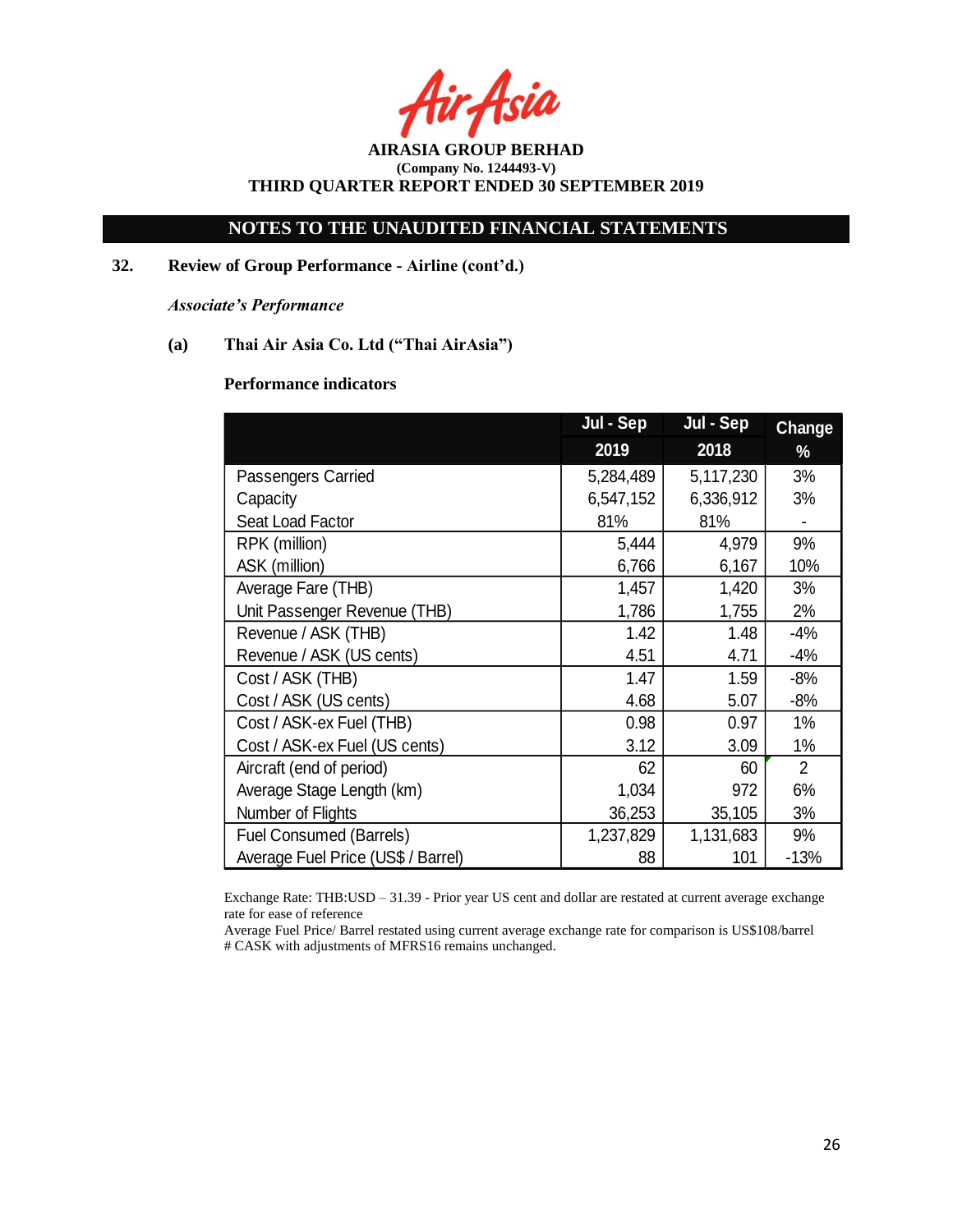·Asia

**AIRASIA GROUP BERHAD (Company No. 1244493-V) THIRD QUARTER REPORT ENDED 30 SEPTEMBER 2019**

**32. Review of Group Performance - Airline (cont'd.)**

*Associate's Performance*

**(a) Thai Air Asia Co. Ltd ("Thai AirAsia")**

## **Performance indicators**

|                                    | Jul - Sep | Jul - Sep | <b>Change</b>  |
|------------------------------------|-----------|-----------|----------------|
|                                    | 2019      | 2018      | %              |
| Passengers Carried                 | 5,284,489 | 5,117,230 | 3%             |
| Capacity                           | 6,547,152 | 6,336,912 | 3%             |
| Seat Load Factor                   | 81%       | 81%       |                |
| RPK (million)                      | 5,444     | 4,979     | 9%             |
| ASK (million)                      | 6,766     | 6,167     | 10%            |
| Average Fare (THB)                 | 1,457     | 1,420     | 3%             |
| Unit Passenger Revenue (THB)       | 1,786     | 1,755     | 2%             |
| Revenue / ASK (THB)                | 1.42      | 1.48      | $-4%$          |
| Revenue / ASK (US cents)           | 4.51      | 4.71      | $-4%$          |
| Cost / ASK (THB)                   | 1.47      | 1.59      | $-8%$          |
| Cost / ASK (US cents)              | 4.68      | 5.07      | $-8%$          |
| Cost / ASK-ex Fuel (THB)           | 0.98      | 0.97      | 1%             |
| Cost / ASK-ex Fuel (US cents)      | 3.12      | 3.09      | $1\%$          |
| Aircraft (end of period)           | 62        | 60        | $\overline{2}$ |
| Average Stage Length (km)          | 1,034     | 972       | 6%             |
| Number of Flights                  | 36,253    | 35,105    | 3%             |
| <b>Fuel Consumed (Barrels)</b>     | 1,237,829 | 1,131,683 | 9%             |
| Average Fuel Price (US\$ / Barrel) | 88        | 101       | $-13%$         |

Exchange Rate: THB:USD – 31.39 - Prior year US cent and dollar are restated at current average exchange rate for ease of reference

Average Fuel Price/ Barrel restated using current average exchange rate for comparison is US\$108/barrel # CASK with adjustments of MFRS16 remains unchanged.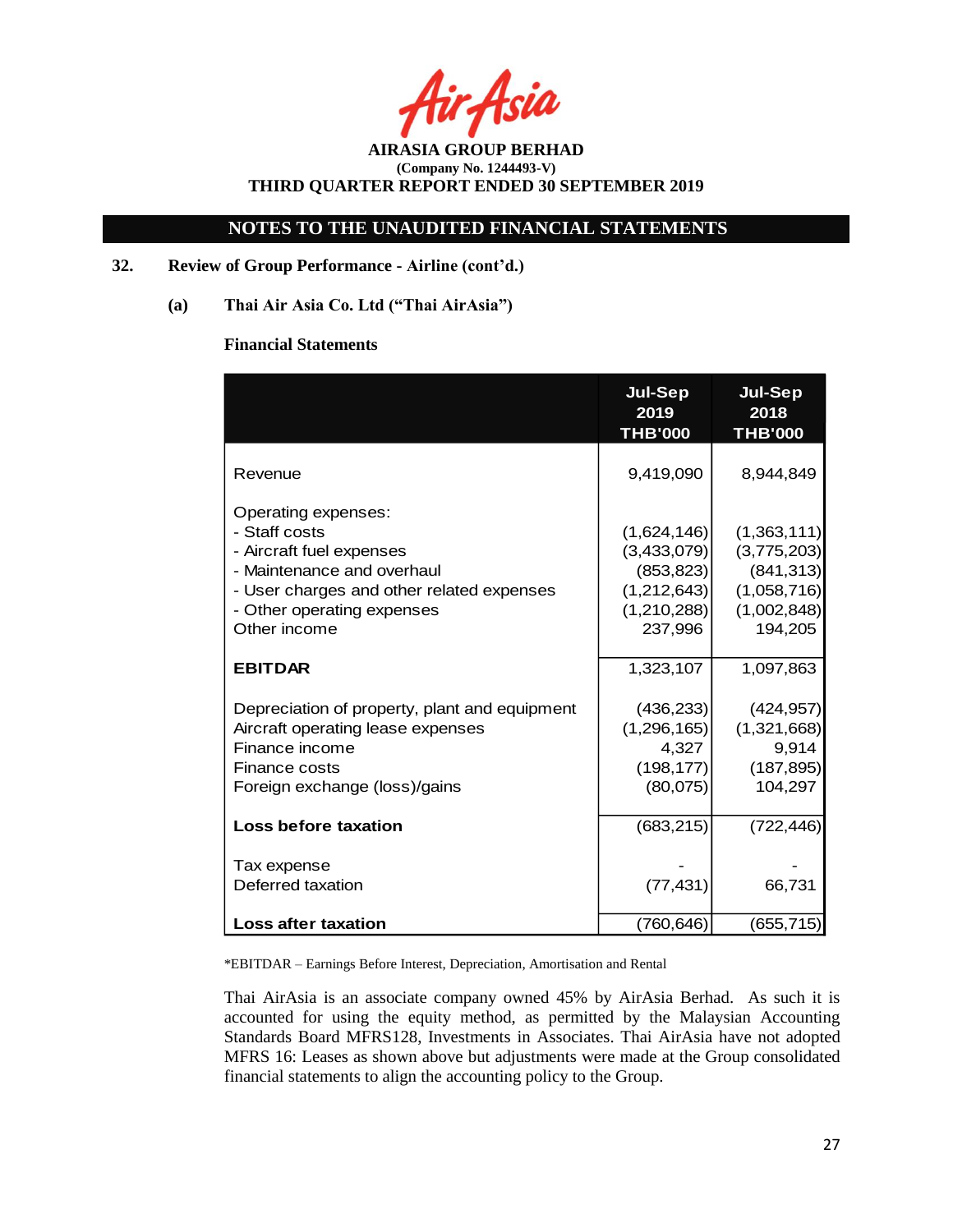Asia

# **NOTES TO THE UNAUDITED FINANCIAL STATEMENTS**

## **32. Review of Group Performance - Airline (cont'd.)**

**(a) Thai Air Asia Co. Ltd ("Thai AirAsia")**

### **Financial Statements**

|                                                                                                                                                                                           | <b>Jul-Sep</b><br>2019<br><b>THB'000</b>                                          | <b>Jul-Sep</b><br>2018<br><b>THB'000</b>                                          |
|-------------------------------------------------------------------------------------------------------------------------------------------------------------------------------------------|-----------------------------------------------------------------------------------|-----------------------------------------------------------------------------------|
| Revenue                                                                                                                                                                                   | 9,419,090                                                                         | 8,944,849                                                                         |
| Operating expenses:<br>- Staff costs<br>- Aircraft fuel expenses<br>- Maintenance and overhaul<br>- User charges and other related expenses<br>- Other operating expenses<br>Other income | (1,624,146)<br>(3,433,079)<br>(853, 823)<br>(1,212,643)<br>(1,210,288)<br>237,996 | (1,363,111)<br>(3,775,203)<br>(841, 313)<br>(1,058,716)<br>(1,002,848)<br>194,205 |
| <b>EBITDAR</b>                                                                                                                                                                            | 1,323,107                                                                         | 1,097,863                                                                         |
| Depreciation of property, plant and equipment<br>Aircraft operating lease expenses<br>Finance income<br>Finance costs<br>Foreign exchange (loss)/gains                                    | (436, 233)<br>(1,296,165)<br>4,327<br>(198, 177)<br>(80,075)                      | (424, 957)<br>(1,321,668)<br>9,914<br>(187, 895)<br>104,297                       |
| <b>Loss before taxation</b>                                                                                                                                                               | (683, 215)                                                                        | (722, 446)                                                                        |
| Tax expense<br>Deferred taxation                                                                                                                                                          | (77, 431)                                                                         | 66,731                                                                            |
| <b>Loss after taxation</b>                                                                                                                                                                | (760, 646)                                                                        | (655, 715)                                                                        |

\*EBITDAR – Earnings Before Interest, Depreciation, Amortisation and Rental

Thai AirAsia is an associate company owned 45% by AirAsia Berhad. As such it is accounted for using the equity method, as permitted by the Malaysian Accounting Standards Board MFRS128, Investments in Associates. Thai AirAsia have not adopted MFRS 16: Leases as shown above but adjustments were made at the Group consolidated financial statements to align the accounting policy to the Group.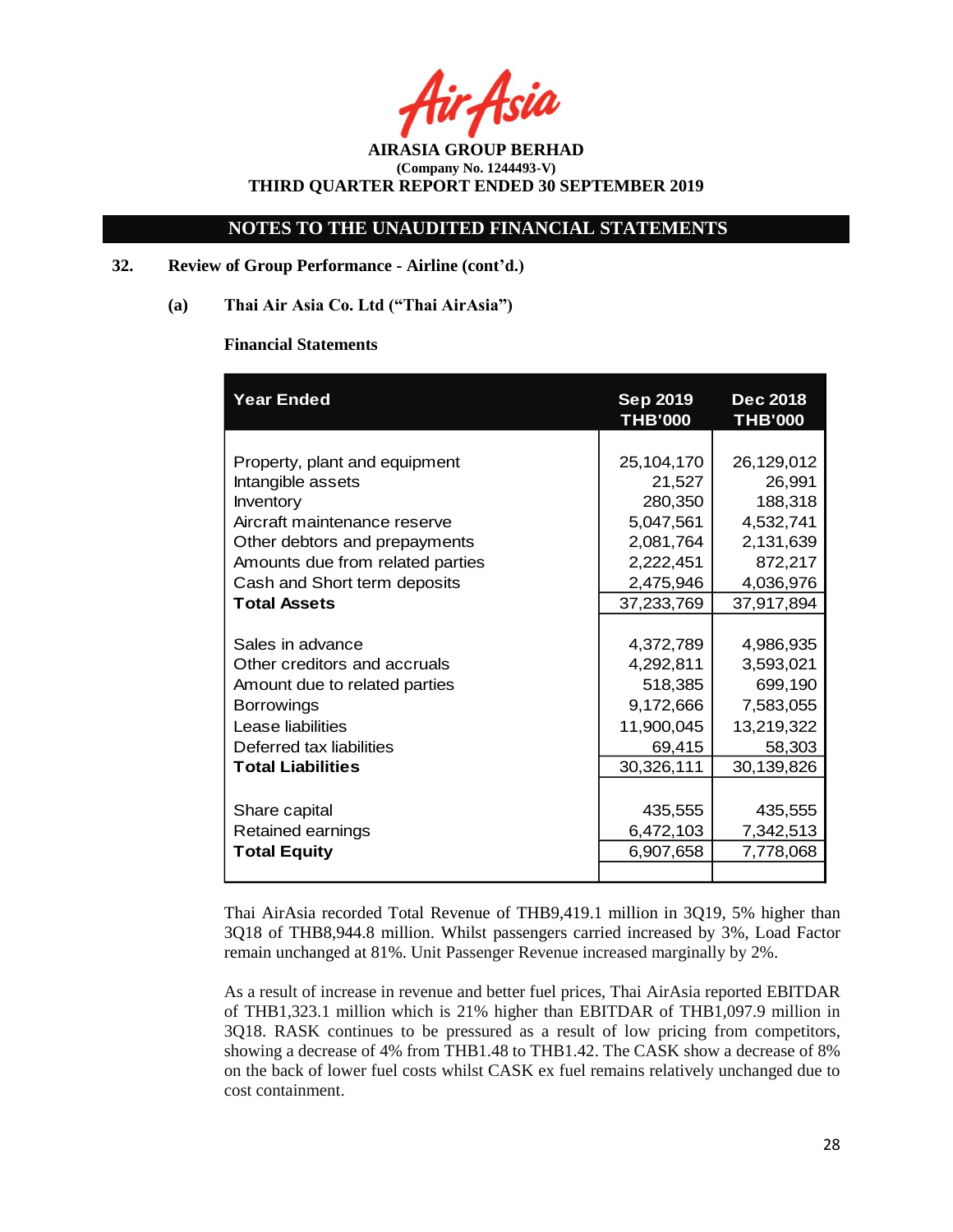# **NOTES TO THE UNAUDITED FINANCIAL STATEMENTS**

## **32. Review of Group Performance - Airline (cont'd.)**

**(a) Thai Air Asia Co. Ltd ("Thai AirAsia")**

### **Financial Statements**

| <b>Year Ended</b>                | <b>Sep 2019</b><br><b>THB'000</b> | <b>Dec 2018</b><br><b>THB'000</b> |
|----------------------------------|-----------------------------------|-----------------------------------|
|                                  |                                   |                                   |
| Property, plant and equipment    | 25,104,170                        | 26,129,012                        |
| Intangible assets                | 21,527                            | 26,991                            |
| Inventory                        | 280,350                           | 188,318                           |
| Aircraft maintenance reserve     | 5,047,561                         | 4,532,741                         |
| Other debtors and prepayments    | 2,081,764                         | 2,131,639                         |
| Amounts due from related parties | 2,222,451                         | 872,217                           |
| Cash and Short term deposits     | 2,475,946                         | 4,036,976                         |
| <b>Total Assets</b>              | 37,233,769                        | 37,917,894                        |
|                                  |                                   |                                   |
| Sales in advance                 | 4,372,789                         | 4,986,935                         |
| Other creditors and accruals     | 4,292,811                         | 3,593,021                         |
| Amount due to related parties    | 518,385                           | 699,190                           |
| <b>Borrowings</b>                | 9,172,666                         | 7,583,055                         |
| Lease liabilities                | 11,900,045                        | 13,219,322                        |
| Deferred tax liabilities         | 69,415                            | 58,303                            |
| <b>Total Liabilities</b>         | 30,326,111                        | 30,139,826                        |
|                                  |                                   |                                   |
| Share capital                    | 435,555                           | 435,555                           |
| Retained earnings                | 6,472,103                         | 7,342,513                         |
| <b>Total Equity</b>              | 6,907,658                         | 7,778,068                         |
|                                  |                                   |                                   |

Thai AirAsia recorded Total Revenue of THB9,419.1 million in 3Q19, 5% higher than 3Q18 of THB8,944.8 million. Whilst passengers carried increased by 3%, Load Factor remain unchanged at 81%. Unit Passenger Revenue increased marginally by 2%.

As a result of increase in revenue and better fuel prices, Thai AirAsia reported EBITDAR of THB1,323.1 million which is 21% higher than EBITDAR of THB1,097.9 million in 3Q18. RASK continues to be pressured as a result of low pricing from competitors, showing a decrease of 4% from THB1.48 to THB1.42. The CASK show a decrease of 8% on the back of lower fuel costs whilst CASK ex fuel remains relatively unchanged due to cost containment.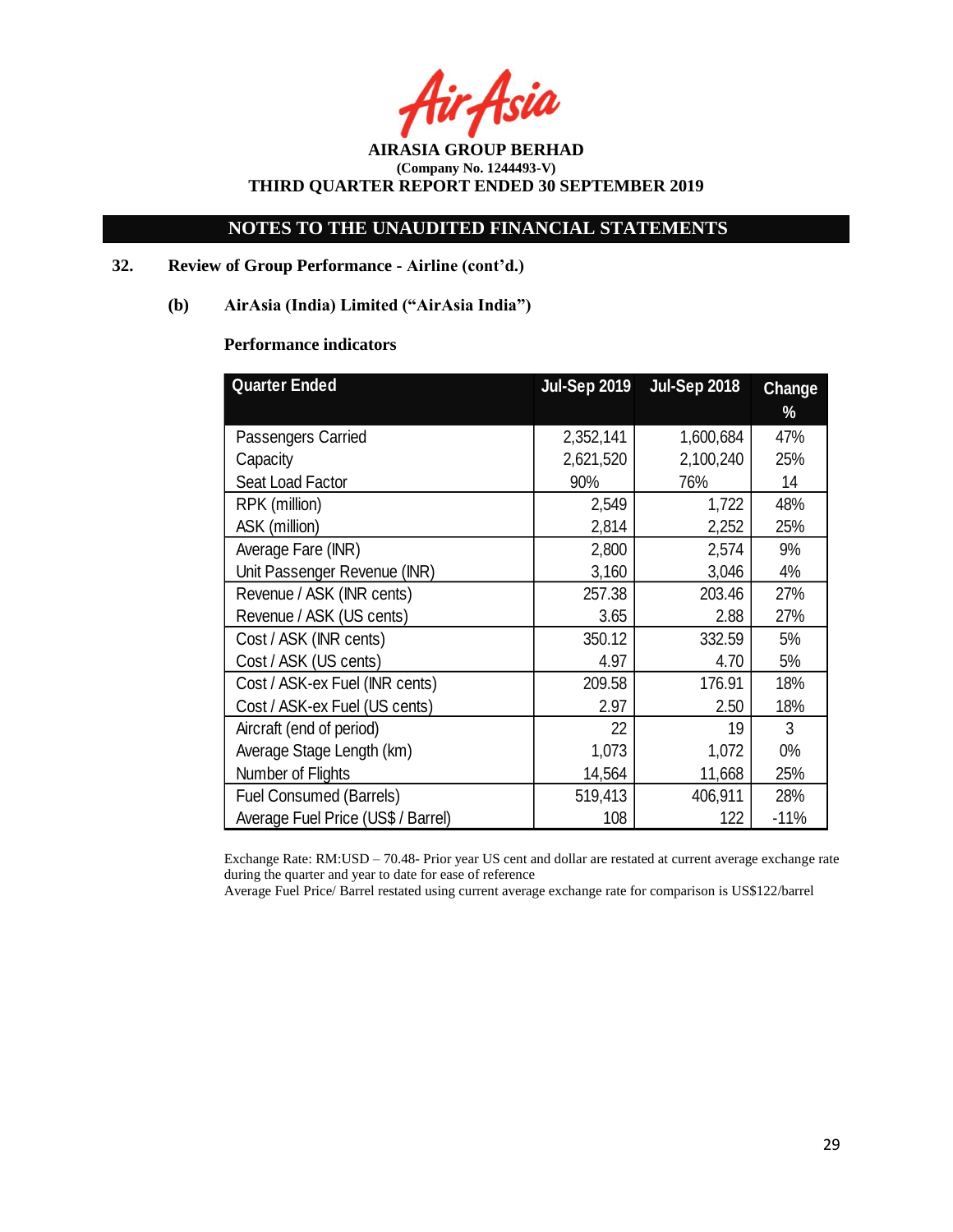-Asia

# **NOTES TO THE UNAUDITED FINANCIAL STATEMENTS**

# **32. Review of Group Performance - Airline (cont'd.)**

## **(b) AirAsia (India) Limited ("AirAsia India")**

## **Performance indicators**

| <b>Quarter Ended</b>               | <b>Jul-Sep 2019</b> | <b>Jul-Sep 2018</b> | <b>Change</b> |
|------------------------------------|---------------------|---------------------|---------------|
|                                    |                     |                     | %             |
| Passengers Carried                 | 2,352,141           | 1,600,684           | 47%           |
| Capacity                           | 2,621,520           | 2,100,240           | 25%           |
| Seat Load Factor                   | 90%                 | 76%                 | 14            |
| RPK (million)                      | 2,549               | 1,722               | 48%           |
| ASK (million)                      | 2,814               | 2,252               | 25%           |
| Average Fare (INR)                 | 2,800               | 2,574               | 9%            |
| Unit Passenger Revenue (INR)       | 3,160               | 3,046               | 4%            |
| Revenue / ASK (INR cents)          | 257.38              | 203.46              | 27%           |
| Revenue / ASK (US cents)           | 3.65                | 2.88                | 27%           |
| Cost / ASK (INR cents)             | 350.12              | 332.59              | 5%            |
| Cost / ASK (US cents)              | 4.97                | 4.70                | 5%            |
| Cost / ASK-ex Fuel (INR cents)     | 209.58              | 176.91              | 18%           |
| Cost / ASK-ex Fuel (US cents)      | 2.97                | 2.50                | 18%           |
| Aircraft (end of period)           | 22                  | 19                  | 3             |
| Average Stage Length (km)          | 1,073               | 1,072               | $0\%$         |
| Number of Flights                  | 14,564              | 11,668              | 25%           |
| <b>Fuel Consumed (Barrels)</b>     | 519,413             | 406,911             | 28%           |
| Average Fuel Price (US\$ / Barrel) | 108                 | 122                 | $-11%$        |

Exchange Rate: RM:USD – 70.48- Prior year US cent and dollar are restated at current average exchange rate during the quarter and year to date for ease of reference

Average Fuel Price/ Barrel restated using current average exchange rate for comparison is US\$122/barrel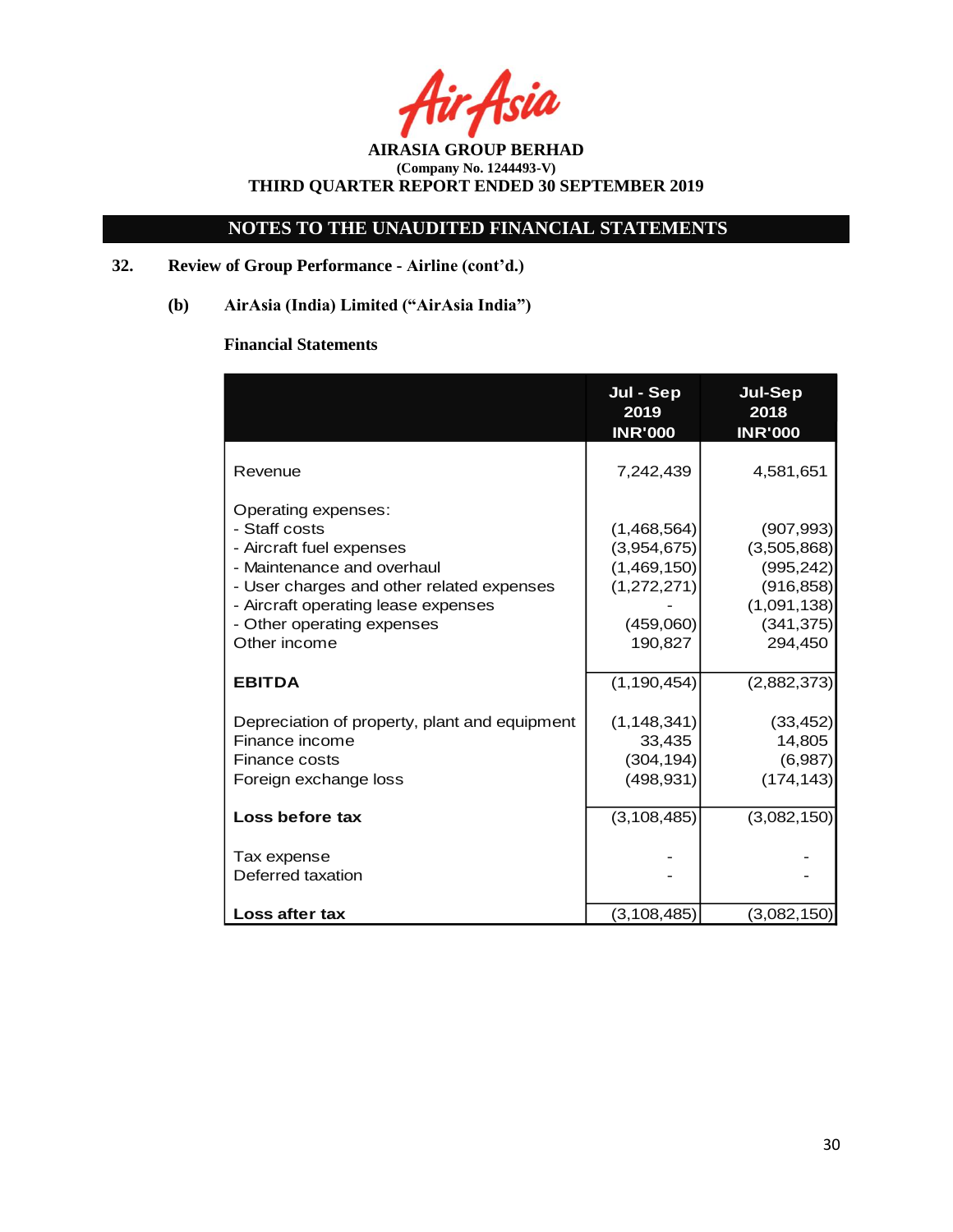Asia

# **NOTES TO THE UNAUDITED FINANCIAL STATEMENTS**

# **32. Review of Group Performance - Airline (cont'd.)**

**(b) AirAsia (India) Limited ("AirAsia India")**

# **Financial Statements**

|                                                                                                                                                                                                                                  | Jul - Sep<br>2019<br><b>INR'000</b>                                              | <b>Jul-Sep</b><br>2018<br><b>INR'000</b>                                                      |
|----------------------------------------------------------------------------------------------------------------------------------------------------------------------------------------------------------------------------------|----------------------------------------------------------------------------------|-----------------------------------------------------------------------------------------------|
| Revenue                                                                                                                                                                                                                          | 7,242,439                                                                        | 4,581,651                                                                                     |
| Operating expenses:<br>- Staff costs<br>- Aircraft fuel expenses<br>- Maintenance and overhaul<br>- User charges and other related expenses<br>- Aircraft operating lease expenses<br>- Other operating expenses<br>Other income | (1,468,564)<br>(3,954,675)<br>(1,469,150)<br>(1,272,271)<br>(459,060)<br>190,827 | (907, 993)<br>(3,505,868)<br>(995, 242)<br>(916, 858)<br>(1,091,138)<br>(341, 375)<br>294,450 |
| <b>EBITDA</b>                                                                                                                                                                                                                    | (1, 190, 454)                                                                    | (2,882,373)                                                                                   |
| Depreciation of property, plant and equipment<br>Finance income<br><b>Finance costs</b><br>Foreign exchange loss                                                                                                                 | (1, 148, 341)<br>33,435<br>(304, 194)<br>(498, 931)                              | (33, 452)<br>14,805<br>(6,987)<br>(174, 143)                                                  |
| Loss before tax                                                                                                                                                                                                                  | (3, 108, 485)                                                                    | (3,082,150)                                                                                   |
| Tax expense<br>Deferred taxation                                                                                                                                                                                                 |                                                                                  |                                                                                               |
| Loss after tax                                                                                                                                                                                                                   | (3,108,485)                                                                      | (3,082,150)                                                                                   |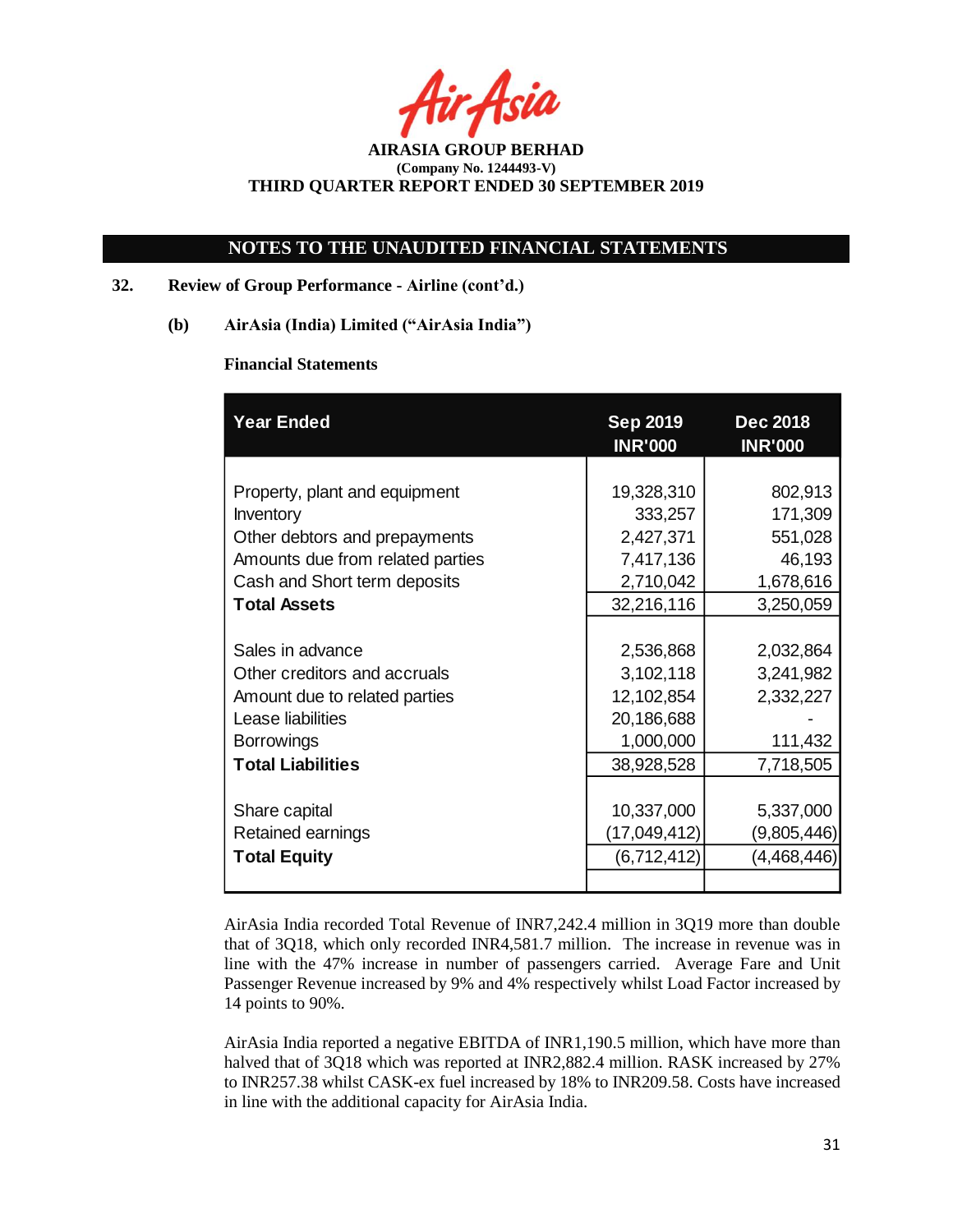Asia

# **NOTES TO THE UNAUDITED FINANCIAL STATEMENTS**

## **32. Review of Group Performance - Airline (cont'd.)**

**(b) AirAsia (India) Limited ("AirAsia India")**

## **Financial Statements**

| <b>Year Ended</b>                | <b>Sep 2019</b><br><b>INR'000</b> | <b>Dec 2018</b><br><b>INR'000</b> |  |
|----------------------------------|-----------------------------------|-----------------------------------|--|
|                                  |                                   |                                   |  |
| Property, plant and equipment    | 19,328,310                        | 802,913                           |  |
| Inventory                        | 333,257                           | 171,309                           |  |
| Other debtors and prepayments    | 2,427,371                         | 551,028                           |  |
| Amounts due from related parties | 7,417,136                         | 46,193                            |  |
| Cash and Short term deposits     | 2,710,042                         | 1,678,616                         |  |
| <b>Total Assets</b>              | 32,216,116                        | 3,250,059                         |  |
|                                  |                                   |                                   |  |
| Sales in advance                 | 2,536,868                         | 2,032,864                         |  |
| Other creditors and accruals     | 3,102,118                         | 3,241,982                         |  |
| Amount due to related parties    | 12,102,854                        | 2,332,227                         |  |
| Lease liabilities                | 20,186,688                        |                                   |  |
| <b>Borrowings</b>                | 1,000,000                         | 111,432                           |  |
| <b>Total Liabilities</b>         | 38,928,528                        | 7,718,505                         |  |
|                                  |                                   |                                   |  |
| Share capital                    | 10,337,000                        | 5,337,000                         |  |
| Retained earnings                | (17,049,412)                      | (9,805,446)                       |  |
| <b>Total Equity</b>              | (6,712,412)                       | (4,468,446)                       |  |
|                                  |                                   |                                   |  |

AirAsia India recorded Total Revenue of INR7,242.4 million in 3Q19 more than double that of 3Q18, which only recorded INR4,581.7 million. The increase in revenue was in line with the 47% increase in number of passengers carried. Average Fare and Unit Passenger Revenue increased by 9% and 4% respectively whilst Load Factor increased by 14 points to 90%.

AirAsia India reported a negative EBITDA of INR1,190.5 million, which have more than halved that of 3Q18 which was reported at INR2,882.4 million. RASK increased by 27% to INR257.38 whilst CASK-ex fuel increased by 18% to INR209.58. Costs have increased in line with the additional capacity for AirAsia India.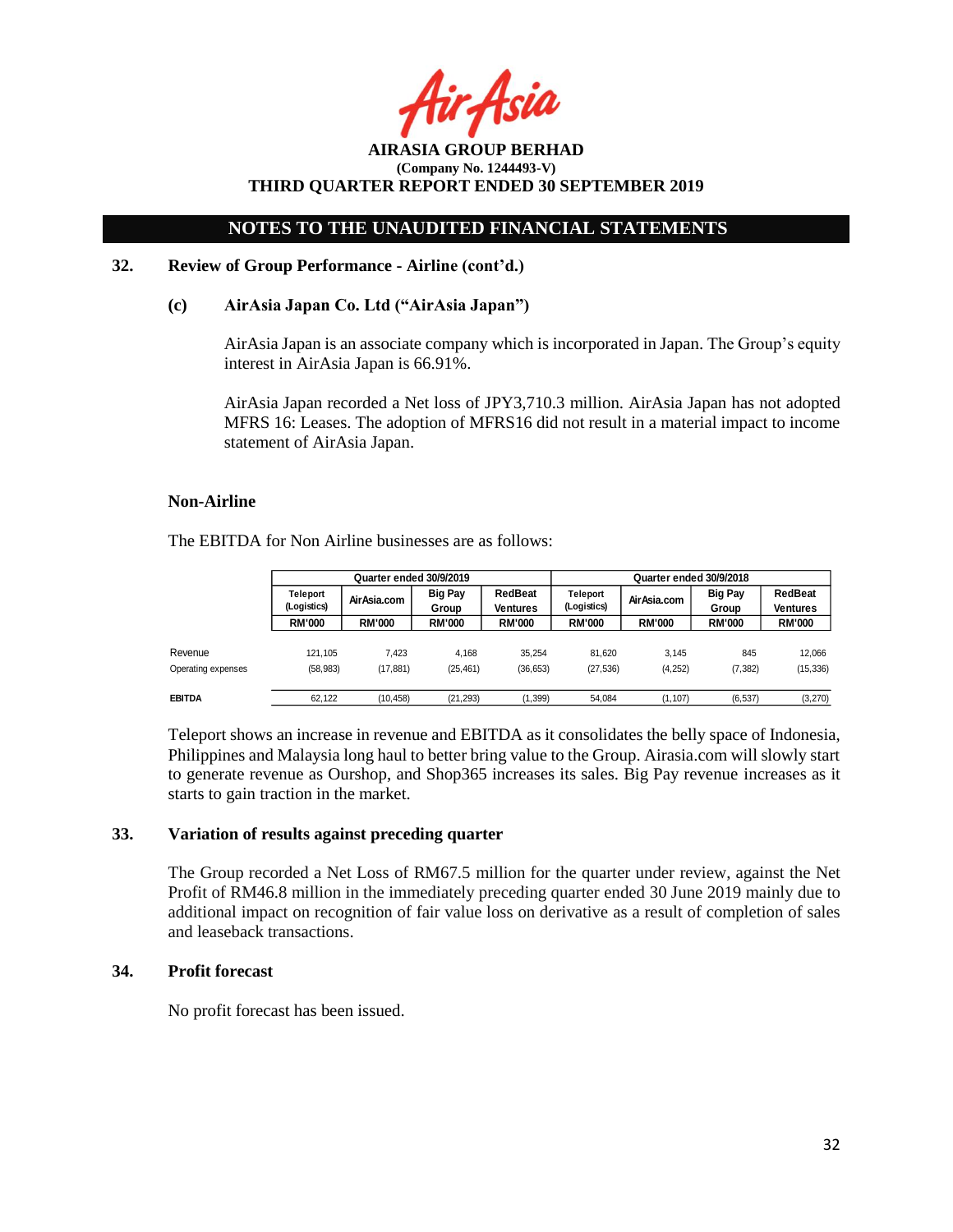Asia

**AIRASIA GROUP BERHAD (Company No. 1244493-V) THIRD QUARTER REPORT ENDED 30 SEPTEMBER 2019**

### **32. Review of Group Performance - Airline (cont'd.)**

#### **(c) AirAsia Japan Co. Ltd ("AirAsia Japan")**

AirAsia Japan is an associate company which is incorporated in Japan. The Group's equity interest in AirAsia Japan is 66.91%.

AirAsia Japan recorded a Net loss of JPY3,710.3 million. AirAsia Japan has not adopted MFRS 16: Leases. The adoption of MFRS16 did not result in a material impact to income statement of AirAsia Japan.

#### **Non-Airline**

The EBITDA for Non Airline businesses are as follows:

|                    | Quarter ended 30/9/2019 |               |                         |                     | Quarter ended 30/9/2018 |               |                         |                     |
|--------------------|-------------------------|---------------|-------------------------|---------------------|-------------------------|---------------|-------------------------|---------------------|
|                    | Teleport<br>(Logistics) | AirAsia.com   | <b>Big Pay</b><br>Group | RedBeat<br>Ventures | Teleport<br>(Logistics) | Air Asia.com  | <b>Big Pay</b><br>Group | RedBeat<br>Ventures |
|                    | <b>RM'000</b>           | <b>RM'000</b> | <b>RM'000</b>           | <b>RM'000</b>       | <b>RM'000</b>           | <b>RM'000</b> | <b>RM'000</b>           | <b>RM'000</b>       |
|                    |                         |               |                         |                     |                         |               |                         |                     |
| Revenue            | 121.105                 | 7.423         | 4.168                   | 35.254              | 81.620                  | 3.145         | 845                     | 12.066              |
| Operating expenses | (58, 983)               | (17, 881)     | (25, 461)               | (36, 653)           | (27, 536)               | (4,252)       | (7, 382)                | (15, 336)           |
|                    |                         |               |                         |                     |                         |               |                         |                     |
| EBITDA             | 62.122                  | (10.458)      | (21, 293)               | (1, 399)            | 54.084                  | (1.107)       | (6.537)                 | (3,270)             |

Teleport shows an increase in revenue and EBITDA as it consolidates the belly space of Indonesia, Philippines and Malaysia long haul to better bring value to the Group. Airasia.com will slowly start to generate revenue as Ourshop, and Shop365 increases its sales. Big Pay revenue increases as it starts to gain traction in the market.

#### **33. Variation of results against preceding quarter**

The Group recorded a Net Loss of RM67.5 million for the quarter under review, against the Net Profit of RM46.8 million in the immediately preceding quarter ended 30 June 2019 mainly due to additional impact on recognition of fair value loss on derivative as a result of completion of sales and leaseback transactions.

## **34. Profit forecast**

No profit forecast has been issued.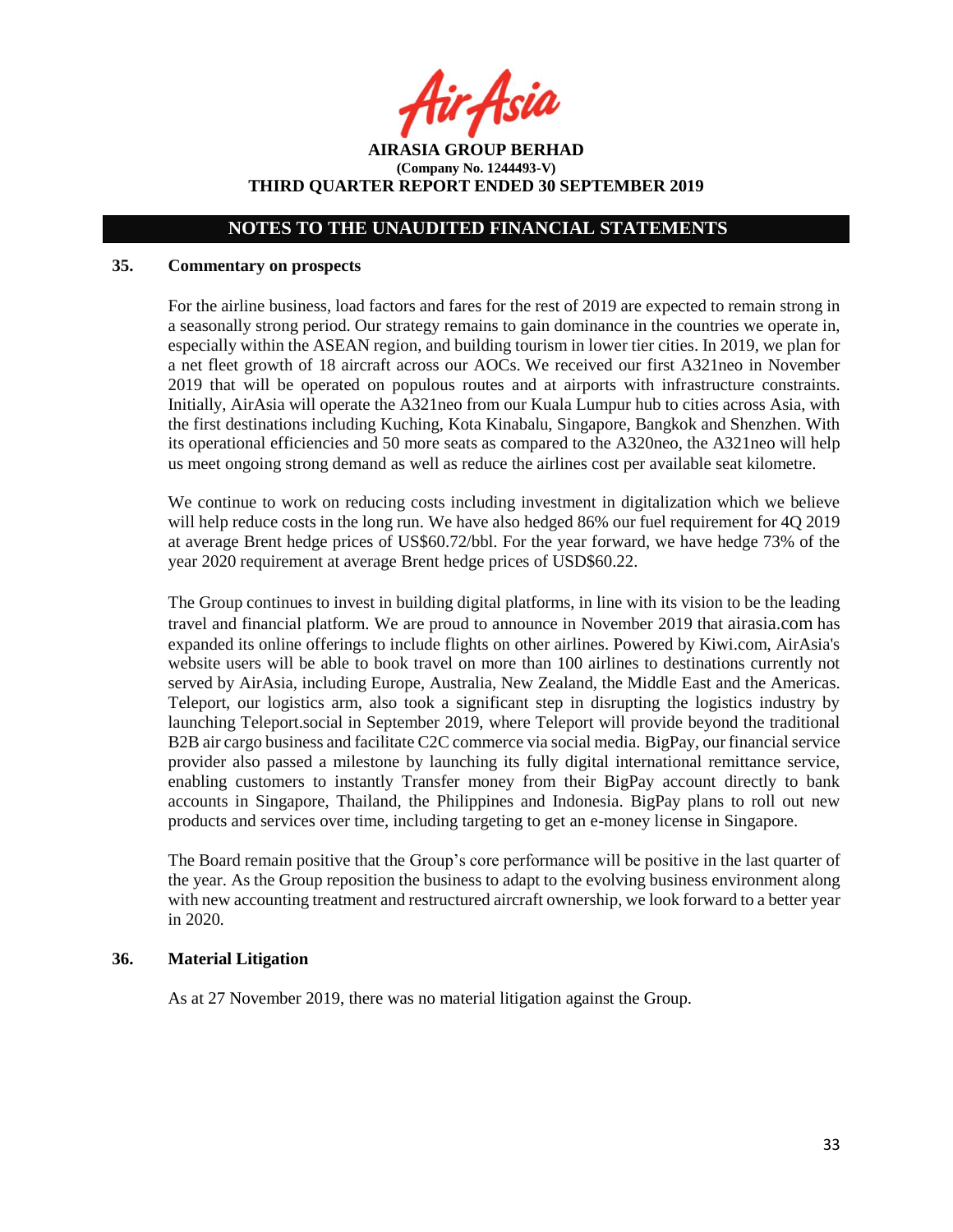<sup>i</sup>ir Asia

**AIRASIA GROUP BERHAD (Company No. 1244493-V) THIRD QUARTER REPORT ENDED 30 SEPTEMBER 2019**

## **35. Commentary on prospects**

For the airline business, load factors and fares for the rest of 2019 are expected to remain strong in a seasonally strong period. Our strategy remains to gain dominance in the countries we operate in, especially within the ASEAN region, and building tourism in lower tier cities. In 2019, we plan for a net fleet growth of 18 aircraft across our AOCs. We received our first A321neo in November 2019 that will be operated on populous routes and at airports with infrastructure constraints. Initially, AirAsia will operate the A321neo from our Kuala Lumpur hub to cities across Asia, with the first destinations including Kuching, Kota Kinabalu, Singapore, Bangkok and Shenzhen. With its operational efficiencies and 50 more seats as compared to the A320neo, the A321neo will help us meet ongoing strong demand as well as reduce the airlines cost per available seat kilometre.

We continue to work on reducing costs including investment in digitalization which we believe will help reduce costs in the long run. We have also hedged 86% our fuel requirement for 4Q 2019 at average Brent hedge prices of US\$60.72/bbl. For the year forward, we have hedge 73% of the year 2020 requirement at average Brent hedge prices of USD\$60.22.

The Group continues to invest in building digital platforms, in line with its vision to be the leading travel and financial platform. We are proud to announce in November 2019 that [airasia.com](http://airasia.com/) has expanded its online offerings to include flights on other airlines. Powered by Kiwi.com, AirAsia's website users will be able to book travel on more than 100 airlines to destinations currently not served by AirAsia, including Europe, Australia, New Zealand, the Middle East and the Americas. Teleport, our logistics arm, also took a significant step in disrupting the logistics industry by launching Teleport.social in September 2019, where Teleport will provide beyond the traditional B2B air cargo business and facilitate C2C commerce via social media. BigPay, our financial service provider also passed a milestone by launching its fully digital international remittance service, enabling customers to instantly Transfer money from their BigPay account directly to bank accounts in Singapore, Thailand, the Philippines and Indonesia. BigPay plans to roll out new products and services over time, including targeting to get an e-money license in Singapore.

The Board remain positive that the Group's core performance will be positive in the last quarter of the year. As the Group reposition the business to adapt to the evolving business environment along with new accounting treatment and restructured aircraft ownership, we look forward to a better year in 2020.

## **36. Material Litigation**

As at 27 November 2019, there was no material litigation against the Group.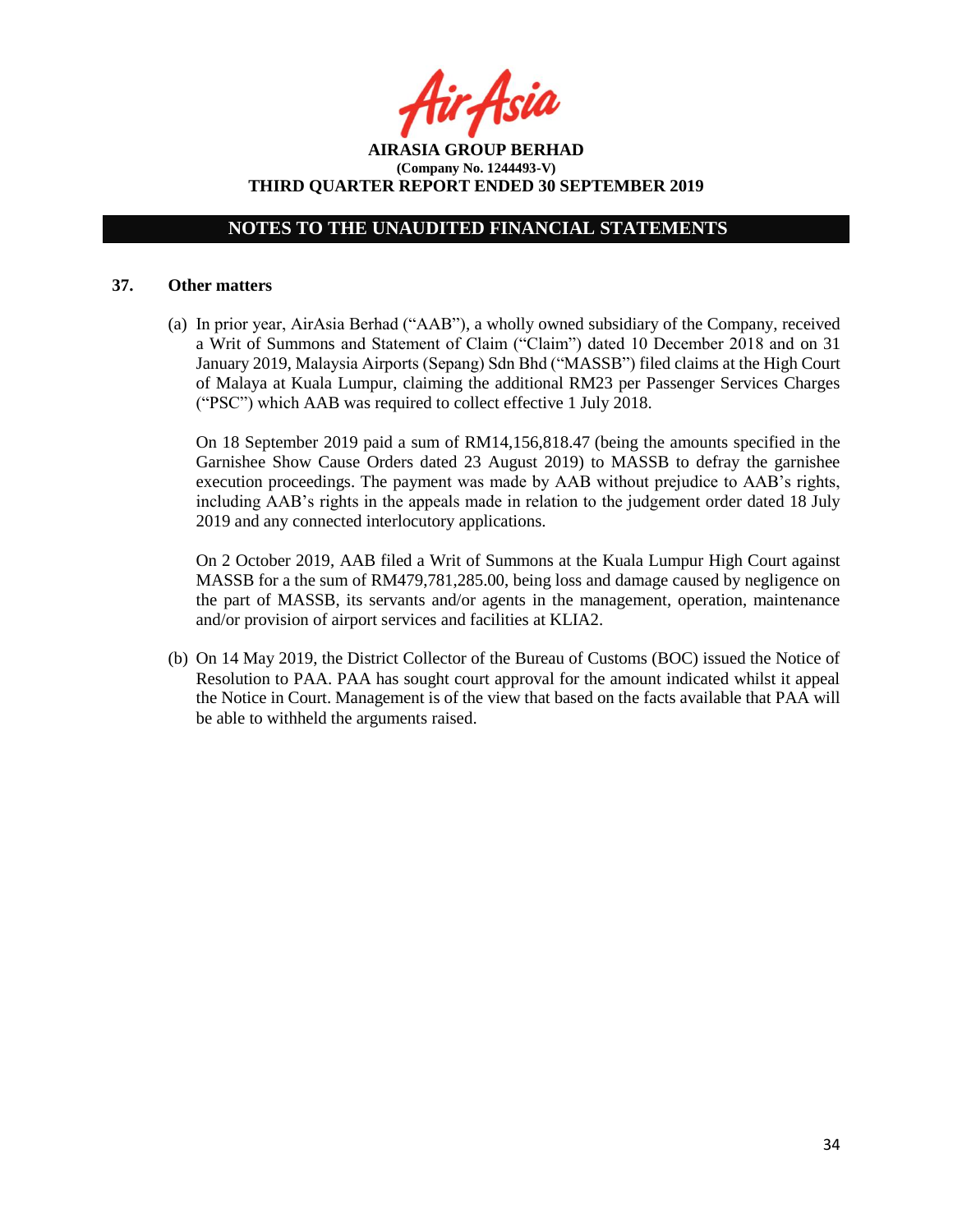**AIRASIA GROUP BERHAD (Company No. 1244493-V) THIRD QUARTER REPORT ENDED 30 SEPTEMBER 2019**

### **37. Other matters**

(a) In prior year, AirAsia Berhad ("AAB"), a wholly owned subsidiary of the Company, received a Writ of Summons and Statement of Claim ("Claim") dated 10 December 2018 and on 31 January 2019, Malaysia Airports (Sepang) Sdn Bhd ("MASSB") filed claims at the High Court of Malaya at Kuala Lumpur, claiming the additional RM23 per Passenger Services Charges ("PSC") which AAB was required to collect effective 1 July 2018.

On 18 September 2019 paid a sum of RM14,156,818.47 (being the amounts specified in the Garnishee Show Cause Orders dated 23 August 2019) to MASSB to defray the garnishee execution proceedings. The payment was made by AAB without prejudice to AAB's rights, including AAB's rights in the appeals made in relation to the judgement order dated 18 July 2019 and any connected interlocutory applications.

On 2 October 2019, AAB filed a Writ of Summons at the Kuala Lumpur High Court against MASSB for a the sum of RM479,781,285.00, being loss and damage caused by negligence on the part of MASSB, its servants and/or agents in the management, operation, maintenance and/or provision of airport services and facilities at KLIA2.

(b) On 14 May 2019, the District Collector of the Bureau of Customs (BOC) issued the Notice of Resolution to PAA. PAA has sought court approval for the amount indicated whilst it appeal the Notice in Court. Management is of the view that based on the facts available that PAA will be able to withheld the arguments raised.